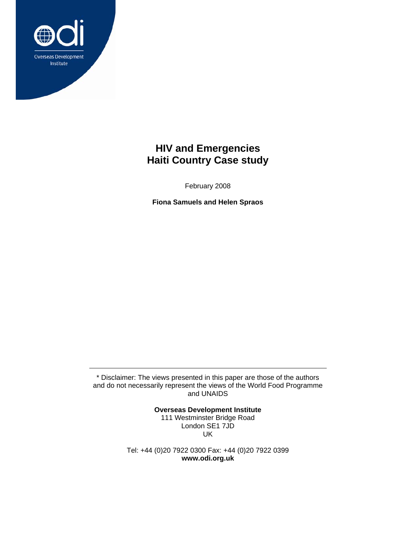

# **HIV and Emergencies Haiti Country Case study**

February 2008

**Fiona Samuels and Helen Spraos** 

\* Disclaimer: The views presented in this paper are those of the authors and do not necessarily represent the views of the World Food Programme and UNAIDS

> **Overseas Development Institute**  111 Westminster Bridge Road London SE1 7JD UK

Tel: +44 (0)20 7922 0300 Fax: +44 (0)20 7922 0399 **www.odi.org.uk**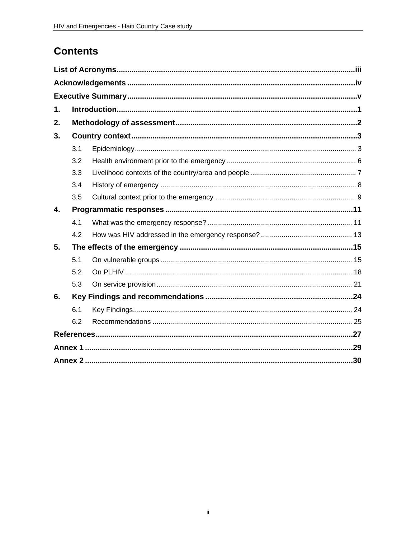# **Contents**

| 1. |     |  |  |  |  |  |
|----|-----|--|--|--|--|--|
| 2. |     |  |  |  |  |  |
| 3. |     |  |  |  |  |  |
|    | 3.1 |  |  |  |  |  |
|    | 3.2 |  |  |  |  |  |
|    | 3.3 |  |  |  |  |  |
|    | 3.4 |  |  |  |  |  |
|    | 3.5 |  |  |  |  |  |
| 4. |     |  |  |  |  |  |
|    | 4.1 |  |  |  |  |  |
|    | 4.2 |  |  |  |  |  |
| 5. |     |  |  |  |  |  |
|    | 5.1 |  |  |  |  |  |
|    | 5.2 |  |  |  |  |  |
|    | 5.3 |  |  |  |  |  |
| 6. |     |  |  |  |  |  |
|    | 6.1 |  |  |  |  |  |
|    | 6.2 |  |  |  |  |  |
|    |     |  |  |  |  |  |
|    |     |  |  |  |  |  |
|    |     |  |  |  |  |  |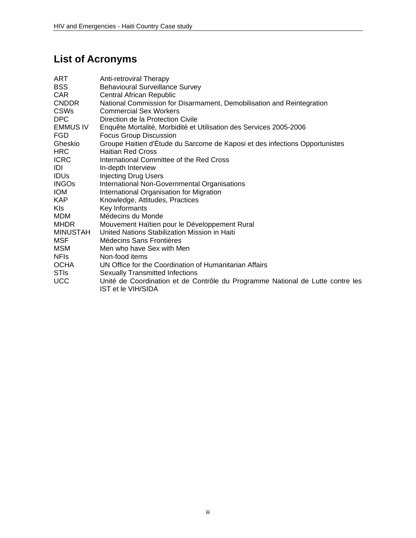# **List of Acronyms**

| ART             | Anti-retroviral Therapy                                                                                     |
|-----------------|-------------------------------------------------------------------------------------------------------------|
| <b>BSS</b>      | <b>Behavioural Surveillance Survey</b>                                                                      |
| <b>CAR</b>      | <b>Central African Republic</b>                                                                             |
| <b>CNDDR</b>    | National Commission for Disarmament, Demobilisation and Reintegration                                       |
| <b>CSWs</b>     | <b>Commercial Sex Workers</b>                                                                               |
| <b>DPC</b>      | Direction de la Protection Civile                                                                           |
| EMMUS IV        | Enquête Mortalité, Morbidité et Utilisation des Services 2005-2006                                          |
| <b>FGD</b>      | <b>Focus Group Discussion</b>                                                                               |
| Gheskio         | Groupe Haitien d'Étude du Sarcome de Kaposi et des infections Opportunistes                                 |
| <b>HRC</b>      | <b>Haitian Red Cross</b>                                                                                    |
| <b>ICRC</b>     | International Committee of the Red Cross                                                                    |
| IDI             | In-depth Interview                                                                                          |
| <b>IDUS</b>     | <b>Injecting Drug Users</b>                                                                                 |
| <b>INGOs</b>    | International Non-Governmental Organisations                                                                |
| <b>IOM</b>      | International Organisation for Migration                                                                    |
| KAP.            | Knowledge, Attitudes, Practices                                                                             |
| KI <sub>S</sub> | Key Informants                                                                                              |
| <b>MDM</b>      | Médecins du Monde                                                                                           |
| <b>MHDR</b>     | Mouvement Haïtien pour le Développement Rural                                                               |
| MINUSTAH        | United Nations Stabilization Mission in Haiti                                                               |
| MSF             | Médecins Sans Frontières                                                                                    |
| <b>MSM</b>      | Men who have Sex with Men                                                                                   |
| <b>NFIs</b>     | Non-food items                                                                                              |
| <b>OCHA</b>     | UN Office for the Coordination of Humanitarian Affairs                                                      |
| <b>STIS</b>     | <b>Sexually Transmitted Infections</b>                                                                      |
| <b>UCC</b>      | Unité de Coordination et de Contrôle du Programme National de Lutte contre les<br><b>IST et le VIH/SIDA</b> |
|                 |                                                                                                             |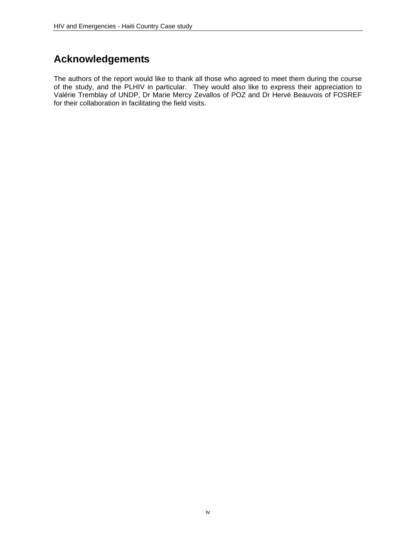## **Acknowledgements**

The authors of the report would like to thank all those who agreed to meet them during the course of the study, and the PLHIV in particular. They would also like to express their appreciation to Valérie Tremblay of UNDP, Dr Marie Mercy Zevallos of POZ and Dr Hervé Beauvois of FOSREF for their collaboration in facilitating the field visits.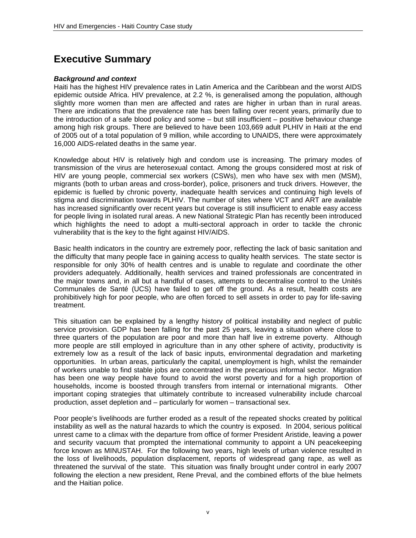# **Executive Summary**

#### *Background and context*

Haiti has the highest HIV prevalence rates in Latin America and the Caribbean and the worst AIDS epidemic outside Africa. HIV prevalence, at 2.2 %, is generalised among the population, although slightly more women than men are affected and rates are higher in urban than in rural areas. There are indications that the prevalence rate has been falling over recent years, primarily due to the introduction of a safe blood policy and some – but still insufficient – positive behaviour change among high risk groups. There are believed to have been 103,669 adult PLHIV in Haiti at the end of 2005 out of a total population of 9 million, while according to UNAIDS, there were approximately 16,000 AIDS-related deaths in the same year.

Knowledge about HIV is relatively high and condom use is increasing. The primary modes of transmission of the virus are heterosexual contact. Among the groups considered most at risk of HIV are young people, commercial sex workers (CSWs), men who have sex with men (MSM), migrants (both to urban areas and cross-border), police, prisoners and truck drivers. However, the epidemic is fuelled by chronic poverty, inadequate health services and continuing high levels of stigma and discrimination towards PLHIV. The number of sites where VCT and ART are available has increased significantly over recent years but coverage is still insufficient to enable easy access for people living in isolated rural areas. A new National Strategic Plan has recently been introduced which highlights the need to adopt a multi-sectoral approach in order to tackle the chronic vulnerability that is the key to the fight against HIV/AIDS.

Basic health indicators in the country are extremely poor, reflecting the lack of basic sanitation and the difficulty that many people face in gaining access to quality health services. The state sector is responsible for only 30% of health centres and is unable to regulate and coordinate the other providers adequately. Additionally, health services and trained professionals are concentrated in the major towns and, in all but a handful of cases, attempts to decentralise control to the Unités Communales de Santé (UCS) have failed to get off the ground. As a result, health costs are prohibitively high for poor people, who are often forced to sell assets in order to pay for life-saving treatment.

This situation can be explained by a lengthy history of political instability and neglect of public service provision. GDP has been falling for the past 25 years, leaving a situation where close to three quarters of the population are poor and more than half live in extreme poverty. Although more people are still employed in agriculture than in any other sphere of activity, productivity is extremely low as a result of the lack of basic inputs, environmental degradation and marketing opportunities. In urban areas, particularly the capital, unemployment is high, whilst the remainder of workers unable to find stable jobs are concentrated in the precarious informal sector. Migration has been one way people have found to avoid the worst poverty and for a high proportion of households, income is boosted through transfers from internal or international migrants. Other important coping strategies that ultimately contribute to increased vulnerability include charcoal production, asset depletion and – particularly for women – transactional sex.

Poor people's livelihoods are further eroded as a result of the repeated shocks created by political instability as well as the natural hazards to which the country is exposed. In 2004, serious political unrest came to a climax with the departure from office of former President Aristide, leaving a power and security vacuum that prompted the international community to appoint a UN peacekeeping force known as MINUSTAH. For the following two years, high levels of urban violence resulted in the loss of livelihoods, population displacement, reports of widespread gang rape, as well as threatened the survival of the state. This situation was finally brought under control in early 2007 following the election a new president, Rene Preval, and the combined efforts of the blue helmets and the Haitian police.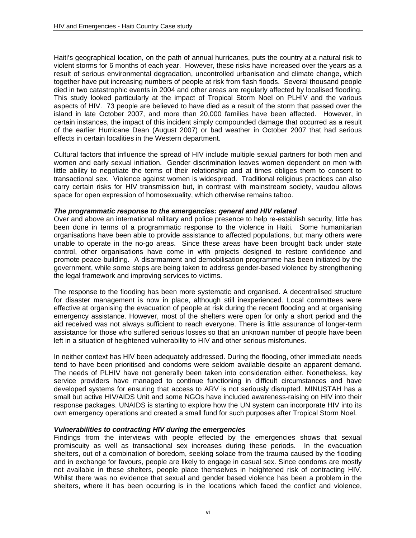Haiti's geographical location, on the path of annual hurricanes, puts the country at a natural risk to violent storms for 6 months of each year. However, these risks have increased over the years as a result of serious environmental degradation, uncontrolled urbanisation and climate change, which together have put increasing numbers of people at risk from flash floods. Several thousand people died in two catastrophic events in 2004 and other areas are regularly affected by localised flooding. This study looked particularly at the impact of Tropical Storm Noel on PLHIV and the various aspects of HIV. 73 people are believed to have died as a result of the storm that passed over the island in late October 2007, and more than 20,000 families have been affected. However, in certain instances, the impact of this incident simply compounded damage that occurred as a result of the earlier Hurricane Dean (August 2007) or bad weather in October 2007 that had serious effects in certain localities in the Western department.

Cultural factors that influence the spread of HIV include multiple sexual partners for both men and women and early sexual initiation. Gender discrimination leaves women dependent on men with little ability to negotiate the terms of their relationship and at times obliges them to consent to transactional sex. Violence against women is widespread. Traditional religious practices can also carry certain risks for HIV transmission but, in contrast with mainstream society, vaudou allows space for open expression of homosexuality, which otherwise remains taboo.

#### *The programmatic response to the emergencies: general and HIV related*

Over and above an international military and police presence to help re-establish security, little has been done in terms of a programmatic response to the violence in Haiti. Some humanitarian organisations have been able to provide assistance to affected populations, but many others were unable to operate in the no-go areas. Since these areas have been brought back under state control, other organisations have come in with projects designed to restore confidence and promote peace-building. A disarmament and demobilisation programme has been initiated by the government, while some steps are being taken to address gender-based violence by strengthening the legal framework and improving services to victims.

The response to the flooding has been more systematic and organised. A decentralised structure for disaster management is now in place, although still inexperienced. Local committees were effective at organising the evacuation of people at risk during the recent flooding and at organising emergency assistance. However, most of the shelters were open for only a short period and the aid received was not always sufficient to reach everyone. There is little assurance of longer-term assistance for those who suffered serious losses so that an unknown number of people have been left in a situation of heightened vulnerability to HIV and other serious misfortunes.

In neither context has HIV been adequately addressed. During the flooding, other immediate needs tend to have been prioritised and condoms were seldom available despite an apparent demand. The needs of PLHIV have not generally been taken into consideration either. Nonetheless, key service providers have managed to continue functioning in difficult circumstances and have developed systems for ensuring that access to ARV is not seriously disrupted. MINUSTAH has a small but active HIV/AIDS Unit and some NGOs have included awareness-raising on HIV into their response packages. UNAIDS is starting to explore how the UN system can incorporate HIV into its own emergency operations and created a small fund for such purposes after Tropical Storm Noel.

#### *Vulnerabilities to contracting HIV during the emergencies*

Findings from the interviews with people effected by the emergencies shows that sexual promiscuity as well as transactional sex increases during these periods. In the evacuation shelters, out of a combination of boredom, seeking solace from the trauma caused by the flooding and in exchange for favours, people are likely to engage in casual sex. Since condoms are mostly not available in these shelters, people place themselves in heightened risk of contracting HIV. Whilst there was no evidence that sexual and gender based violence has been a problem in the shelters, where it has been occurring is in the locations which faced the conflict and violence,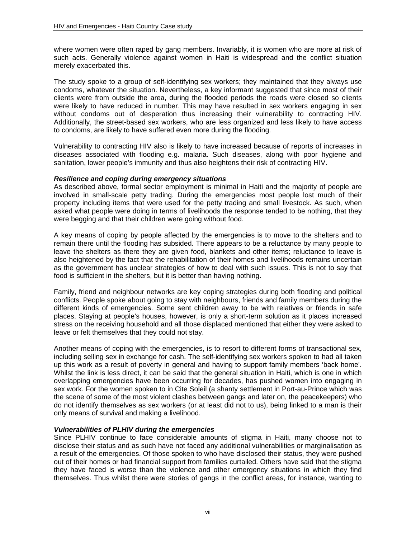where women were often raped by gang members. Invariably, it is women who are more at risk of such acts. Generally violence against women in Haiti is widespread and the conflict situation merely exacerbated this.

The study spoke to a group of self-identifying sex workers; they maintained that they always use condoms, whatever the situation. Nevertheless, a key informant suggested that since most of their clients were from outside the area, during the flooded periods the roads were closed so clients were likely to have reduced in number. This may have resulted in sex workers engaging in sex without condoms out of desperation thus increasing their vulnerability to contracting HIV. Additionally, the street-based sex workers, who are less organized and less likely to have access to condoms, are likely to have suffered even more during the flooding.

Vulnerability to contracting HIV also is likely to have increased because of reports of increases in diseases associated with flooding e.g. malaria. Such diseases, along with poor hygiene and sanitation, lower people's immunity and thus also heightens their risk of contracting HIV.

#### *Resilience and coping during emergency situations*

As described above, formal sector employment is minimal in Haiti and the majority of people are involved in small-scale petty trading. During the emergencies most people lost much of their property including items that were used for the petty trading and small livestock. As such, when asked what people were doing in terms of livelihoods the response tended to be nothing, that they were begging and that their children were going without food.

A key means of coping by people affected by the emergencies is to move to the shelters and to remain there until the flooding has subsided. There appears to be a reluctance by many people to leave the shelters as there they are given food, blankets and other items; reluctance to leave is also heightened by the fact that the rehabilitation of their homes and livelihoods remains uncertain as the government has unclear strategies of how to deal with such issues. This is not to say that food is sufficient in the shelters, but it is better than having nothing.

Family, friend and neighbour networks are key coping strategies during both flooding and political conflicts. People spoke about going to stay with neighbours, friends and family members during the different kinds of emergencies. Some sent children away to be with relatives or friends in safe places. Staying at people's houses, however, is only a short-term solution as it places increased stress on the receiving household and all those displaced mentioned that either they were asked to leave or felt themselves that they could not stay.

Another means of coping with the emergencies, is to resort to different forms of transactional sex, including selling sex in exchange for cash. The self-identifying sex workers spoken to had all taken up this work as a result of poverty in general and having to support family members 'back home'. Whilst the link is less direct, it can be said that the general situation in Haiti, which is one in which overlapping emergencies have been occurring for decades, has pushed women into engaging in sex work. For the women spoken to in Cite Soleil (a shanty settlement in Port-au-Prince which was the scene of some of the most violent clashes between gangs and later on, the peacekeepers) who do not identify themselves as sex workers (or at least did not to us), being linked to a man is their only means of survival and making a livelihood.

#### *Vulnerabilities of PLHIV during the emergencies*

Since PLHIV continue to face considerable amounts of stigma in Haiti, many choose not to disclose their status and as such have not faced any additional vulnerabilities or marginalisation as a result of the emergencies. Of those spoken to who have disclosed their status, they were pushed out of their homes or had financial support from families curtailed. Others have said that the stigma they have faced is worse than the violence and other emergency situations in which they find themselves. Thus whilst there were stories of gangs in the conflict areas, for instance, wanting to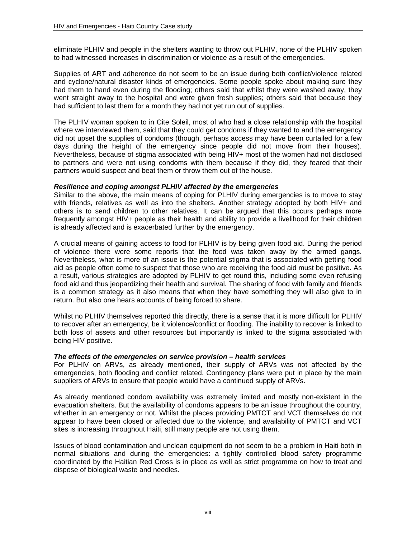eliminate PLHIV and people in the shelters wanting to throw out PLHIV, none of the PLHIV spoken to had witnessed increases in discrimination or violence as a result of the emergencies.

Supplies of ART and adherence do not seem to be an issue during both conflict/violence related and cyclone/natural disaster kinds of emergencies. Some people spoke about making sure they had them to hand even during the flooding; others said that whilst they were washed away, they went straight away to the hospital and were given fresh supplies; others said that because they had sufficient to last them for a month they had not yet run out of supplies.

The PLHIV woman spoken to in Cite Soleil, most of who had a close relationship with the hospital where we interviewed them, said that they could get condoms if they wanted to and the emergency did not upset the supplies of condoms (though, perhaps access may have been curtailed for a few days during the height of the emergency since people did not move from their houses). Nevertheless, because of stigma associated with being HIV+ most of the women had not disclosed to partners and were not using condoms with them because if they did, they feared that their partners would suspect and beat them or throw them out of the house.

#### *Resilience and coping amongst PLHIV affected by the emergencies*

Similar to the above, the main means of coping for PLHIV during emergencies is to move to stay with friends, relatives as well as into the shelters. Another strategy adopted by both HIV+ and others is to send children to other relatives. It can be argued that this occurs perhaps more frequently amongst HIV+ people as their health and ability to provide a livelihood for their children is already affected and is exacerbated further by the emergency.

A crucial means of gaining access to food for PLHIV is by being given food aid. During the period of violence there were some reports that the food was taken away by the armed gangs. Nevertheless, what is more of an issue is the potential stigma that is associated with getting food aid as people often come to suspect that those who are receiving the food aid must be positive. As a result, various strategies are adopted by PLHIV to get round this, including some even refusing food aid and thus jeopardizing their health and survival. The sharing of food with family and friends is a common strategy as it also means that when they have something they will also give to in return. But also one hears accounts of being forced to share.

Whilst no PLHIV themselves reported this directly, there is a sense that it is more difficult for PLHIV to recover after an emergency, be it violence/conflict or flooding. The inability to recover is linked to both loss of assets and other resources but importantly is linked to the stigma associated with being HIV positive.

#### *The effects of the emergencies on service provision – health services*

For PLHIV on ARVs, as already mentioned, their supply of ARVs was not affected by the emergencies, both flooding and conflict related. Contingency plans were put in place by the main suppliers of ARVs to ensure that people would have a continued supply of ARVs.

As already mentioned condom availability was extremely limited and mostly non-existent in the evacuation shelters. But the availability of condoms appears to be an issue throughout the country, whether in an emergency or not. Whilst the places providing PMTCT and VCT themselves do not appear to have been closed or affected due to the violence, and availability of PMTCT and VCT sites is increasing throughout Haiti, still many people are not using them.

Issues of blood contamination and unclean equipment do not seem to be a problem in Haiti both in normal situations and during the emergencies: a tightly controlled blood safety programme coordinated by the Haitian Red Cross is in place as well as strict programme on how to treat and dispose of biological waste and needles.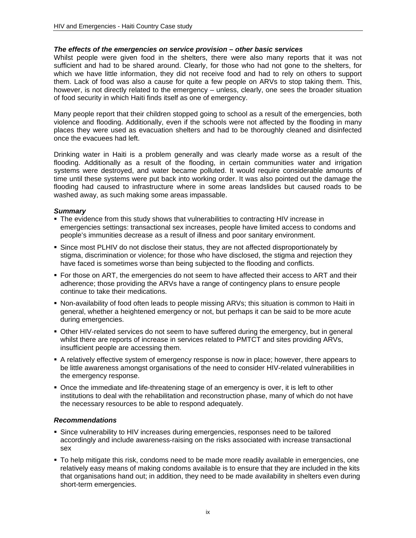#### *The effects of the emergencies on service provision – other basic services*

Whilst people were given food in the shelters, there were also many reports that it was not sufficient and had to be shared around. Clearly, for those who had not gone to the shelters, for which we have little information, they did not receive food and had to rely on others to support them. Lack of food was also a cause for quite a few people on ARVs to stop taking them. This, however, is not directly related to the emergency – unless, clearly, one sees the broader situation of food security in which Haiti finds itself as one of emergency.

Many people report that their children stopped going to school as a result of the emergencies, both violence and flooding. Additionally, even if the schools were not affected by the flooding in many places they were used as evacuation shelters and had to be thoroughly cleaned and disinfected once the evacuees had left.

Drinking water in Haiti is a problem generally and was clearly made worse as a result of the flooding. Additionally as a result of the flooding, in certain communities water and irrigation systems were destroyed, and water became polluted. It would require considerable amounts of time until these systems were put back into working order. It was also pointed out the damage the flooding had caused to infrastructure where in some areas landslides but caused roads to be washed away, as such making some areas impassable.

#### *Summary*

- **The evidence from this study shows that vulnerabilities to contracting HIV increase in** emergencies settings: transactional sex increases, people have limited access to condoms and people's immunities decrease as a result of illness and poor sanitary environment.
- Since most PLHIV do not disclose their status, they are not affected disproportionately by stigma, discrimination or violence; for those who have disclosed, the stigma and rejection they have faced is sometimes worse than being subjected to the flooding and conflicts.
- **For those on ART, the emergencies do not seem to have affected their access to ART and their** adherence; those providing the ARVs have a range of contingency plans to ensure people continue to take their medications.
- Non-availability of food often leads to people missing ARVs; this situation is common to Haiti in general, whether a heightened emergency or not, but perhaps it can be said to be more acute during emergencies.
- Other HIV-related services do not seem to have suffered during the emergency, but in general whilst there are reports of increase in services related to PMTCT and sites providing ARVs, insufficient people are accessing them.
- A relatively effective system of emergency response is now in place; however, there appears to be little awareness amongst organisations of the need to consider HIV-related vulnerabilities in the emergency response.
- Once the immediate and life-threatening stage of an emergency is over, it is left to other institutions to deal with the rehabilitation and reconstruction phase, many of which do not have the necessary resources to be able to respond adequately.

#### *Recommendations*

- Since vulnerability to HIV increases during emergencies, responses need to be tailored accordingly and include awareness-raising on the risks associated with increase transactional sex
- To help mitigate this risk, condoms need to be made more readily available in emergencies, one relatively easy means of making condoms available is to ensure that they are included in the kits that organisations hand out; in addition, they need to be made availability in shelters even during short-term emergencies.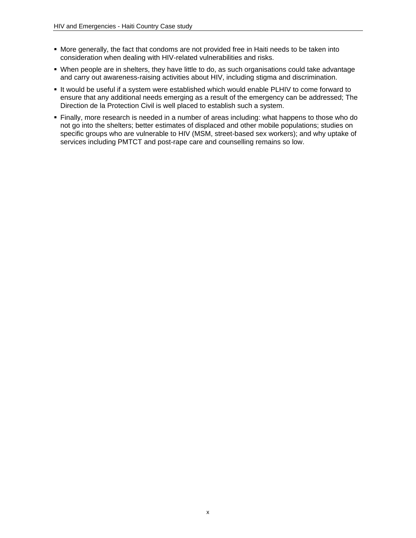- More generally, the fact that condoms are not provided free in Haiti needs to be taken into consideration when dealing with HIV-related vulnerabilities and risks.
- When people are in shelters, they have little to do, as such organisations could take advantage and carry out awareness-raising activities about HIV, including stigma and discrimination.
- It would be useful if a system were established which would enable PLHIV to come forward to ensure that any additional needs emerging as a result of the emergency can be addressed; The Direction de la Protection Civil is well placed to establish such a system.
- **Finally, more research is needed in a number of areas including: what happens to those who do** not go into the shelters; better estimates of displaced and other mobile populations; studies on specific groups who are vulnerable to HIV (MSM, street-based sex workers); and why uptake of services including PMTCT and post-rape care and counselling remains so low.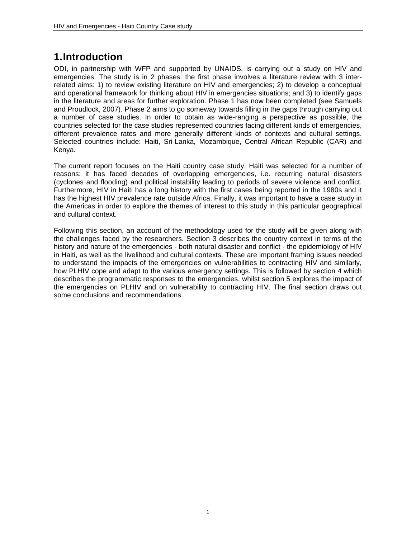# **1. Introduction**

ODI, in partnership with WFP and supported by UNAIDS, is carrying out a study on HIV and emergencies. The study is in 2 phases: the first phase involves a literature review with 3 interrelated aims: 1) to review existing literature on HIV and emergencies; 2) to develop a conceptual and operational framework for thinking about HIV in emergencies situations; and 3) to identify gaps in the literature and areas for further exploration. Phase 1 has now been completed (see Samuels and Proudlock, 2007). Phase 2 aims to go someway towards filling in the gaps through carrying out a number of case studies. In order to obtain as wide-ranging a perspective as possible, the countries selected for the case studies represented countries facing different kinds of emergencies, different prevalence rates and more generally different kinds of contexts and cultural settings. Selected countries include: Haiti, Sri-Lanka, Mozambique, Central African Republic (CAR) and Kenya.

The current report focuses on the Haiti country case study. Haiti was selected for a number of reasons: it has faced decades of overlapping emergencies, i.e. recurring natural disasters (cyclones and flooding) and political instability leading to periods of severe violence and conflict. Furthermore, HIV in Haiti has a long history with the first cases being reported in the 1980s and it has the highest HIV prevalence rate outside Africa. Finally, it was important to have a case study in the Americas in order to explore the themes of interest to this study in this particular geographical and cultural context.

Following this section, an account of the methodology used for the study will be given along with the challenges faced by the researchers. Section 3 describes the country context in terms of the history and nature of the emergencies - both natural disaster and conflict - the epidemiology of HIV in Haiti, as well as the livelihood and cultural contexts. These are important framing issues needed to understand the impacts of the emergencies on vulnerabilities to contracting HIV and similarly, how PLHIV cope and adapt to the various emergency settings. This is followed by section 4 which describes the programmatic responses to the emergencies, whilst section 5 explores the impact of the emergencies on PLHIV and on vulnerability to contracting HIV. The final section draws out some conclusions and recommendations.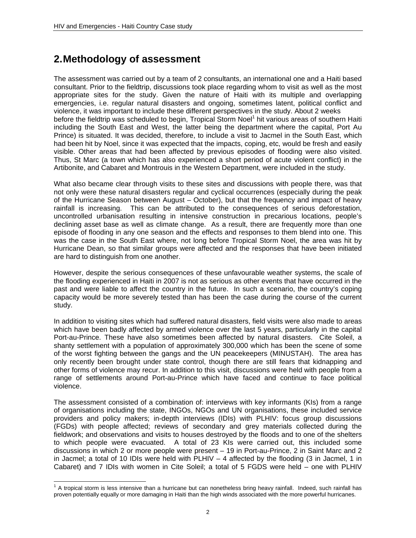## **2. Methodology of assessment**

The assessment was carried out by a team of 2 consultants, an international one and a Haiti based consultant. Prior to the fieldtrip, discussions took place regarding whom to visit as well as the most appropriate sites for the study. Given the nature of Haiti with its multiple and overlapping emergencies, i.e. regular natural disasters and ongoing, sometimes latent, political conflict and violence, it was important to include these different perspectives in the study. About 2 weeks before the fieldtrip was scheduled to begin, Tropical Storm Noel<sup>1</sup> hit various areas of southern Haiti including the South East and West, the latter being the department where the capital, Port Au Prince) is situated. It was decided, therefore, to include a visit to Jacmel in the South East, which had been hit by Noel, since it was expected that the impacts, coping, etc, would be fresh and easily visible. Other areas that had been affected by previous episodes of flooding were also visited. Thus, St Marc (a town which has also experienced a short period of acute violent conflict) in the Artibonite, and Cabaret and Montrouis in the Western Department, were included in the study.

What also became clear through visits to these sites and discussions with people there, was that not only were these natural disasters regular and cyclical occurrences (especially during the peak of the Hurricane Season between August – October), but that the frequency and impact of heavy rainfall is increasing. This can be attributed to the consequences of serious deforestation, uncontrolled urbanisation resulting in intensive construction in precarious locations, people's declining asset base as well as climate change. As a result, there are frequently more than one episode of flooding in any one season and the effects and responses to them blend into one. This was the case in the South East where, not long before Tropical Storm Noel, the area was hit by Hurricane Dean, so that similar groups were affected and the responses that have been initiated are hard to distinguish from one another.

However, despite the serious consequences of these unfavourable weather systems, the scale of the flooding experienced in Haiti in 2007 is not as serious as other events that have occurred in the past and were liable to affect the country in the future. In such a scenario, the country's coping capacity would be more severely tested than has been the case during the course of the current study.

In addition to visiting sites which had suffered natural disasters, field visits were also made to areas which have been badly affected by armed violence over the last 5 years, particularly in the capital Port-au-Prince. These have also sometimes been affected by natural disasters. Cite Soleil, a shanty settlement with a population of approximately 300,000 which has been the scene of some of the worst fighting between the gangs and the UN peacekeepers (MINUSTAH). The area has only recently been brought under state control, though there are still fears that kidnapping and other forms of violence may recur. In addition to this visit, discussions were held with people from a range of settlements around Port-au-Prince which have faced and continue to face political violence.

The assessment consisted of a combination of: interviews with key informants (KIs) from a range of organisations including the state, INGOs, NGOs and UN organisations, these included service providers and policy makers; in-depth interviews (IDIs) with PLHIV: focus group discussions (FGDs) with people affected; reviews of secondary and grey materials collected during the fieldwork; and observations and visits to houses destroyed by the floods and to one of the shelters to which people were evacuated. A total of 23 KIs were carried out, this included some discussions in which 2 or more people were present – 19 in Port-au-Prince, 2 in Saint Marc and 2 in Jacmel; a total of 10 IDIs were held with PLHIV – 4 affected by the flooding (3 in Jacmel, 1 in Cabaret) and 7 IDIs with women in Cite Soleil; a total of 5 FGDS were held – one with PLHIV

l

 $1$  A tropical storm is less intensive than a hurricane but can nonetheless bring heavy rainfall. Indeed, such rainfall has proven potentially equally or more damaging in Haiti than the high winds associated with the more powerful hurricanes.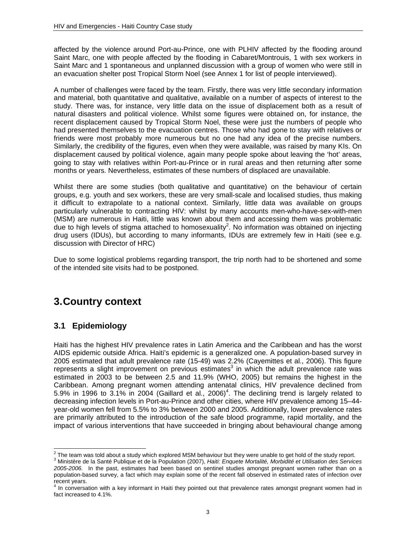affected by the violence around Port-au-Prince, one with PLHIV affected by the flooding around Saint Marc, one with people affected by the flooding in Cabaret/Montrouis, 1 with sex workers in Saint Marc and 1 spontaneous and unplanned discussion with a group of women who were still in an evacuation shelter post Tropical Storm Noel (see Annex 1 for list of people interviewed).

A number of challenges were faced by the team. Firstly, there was very little secondary information and material, both quantitative and qualitative, available on a number of aspects of interest to the study. There was, for instance, very little data on the issue of displacement both as a result of natural disasters and political violence. Whilst some figures were obtained on, for instance, the recent displacement caused by Tropical Storm Noel, these were just the numbers of people who had presented themselves to the evacuation centres. Those who had gone to stay with relatives or friends were most probably more numerous but no one had any idea of the precise numbers. Similarly, the credibility of the figures, even when they were available, was raised by many KIs. On displacement caused by political violence, again many people spoke about leaving the 'hot' areas, going to stay with relatives within Port-au-Prince or in rural areas and then returning after some months or years. Nevertheless, estimates of these numbers of displaced are unavailable.

Whilst there are some studies (both qualitative and quantitative) on the behaviour of certain groups, e.g. youth and sex workers, these are very small-scale and localised studies, thus making it difficult to extrapolate to a national context. Similarly, little data was available on groups particularly vulnerable to contracting HIV: whilst by many accounts men-who-have-sex-with-men (MSM) are numerous in Haiti, little was known about them and accessing them was problematic due to high levels of stigma attached to homosexuality<sup>2</sup>. No information was obtained on injecting drug users (IDUs), but according to many informants, IDUs are extremely few in Haiti (see e.g. discussion with Director of HRC)

Due to some logistical problems regarding transport, the trip north had to be shortened and some of the intended site visits had to be postponed.

## **3. Country context**

## **3.1 Epidemiology**

Haiti has the highest HIV prevalence rates in Latin America and the Caribbean and has the worst AIDS epidemic outside Africa. Haiti's epidemic is a generalized one. A population-based survey in 2005 estimated that adult prevalence rate (15-49) was 2.2% (Cayemittes et al., 2006). This figure represents a slight improvement on previous estimates<sup>3</sup> in which the adult prevalence rate was estimated in 2003 to be between 2.5 and 11.9% (WHO, 2005) but remains the highest in the Caribbean. Among pregnant women attending antenatal clinics, HIV prevalence declined from 5.9% in 1996 to  $3.1\%$  in 2004 (Gaillard et al., 2006)<sup>4</sup>. The declining trend is largely related to decreasing infection levels in Port-au-Prince and other cities, where HIV prevalence among 15–44 year-old women fell from 5.5% to 3% between 2000 and 2005. Additionally, lower prevalence rates are primarily attributed to the introduction of the safe blood programme, rapid mortality, and the impact of various interventions that have succeeded in bringing about behavioural change among

 $\frac{2}{3}$  The team was told about a study which explored MSM behaviour but they were unable to get hold of the study report.

<sup>3</sup> Ministère de la Santé Publique et de la Population (2007), *Haiti: Enquete Mortalité, Morbidité et Utilisation des Services 2005-2006.* In the past, estimates had been based on sentinel studies amongst pregnant women rather than on a population-based survey, a fact which may explain some of the recent fall observed in estimated rates of infection over

recent years.<br><sup>4</sup> In conversation with a key informant in Haiti they pointed out that prevalence rates amongst pregnant women had in fact increased to 4.1%.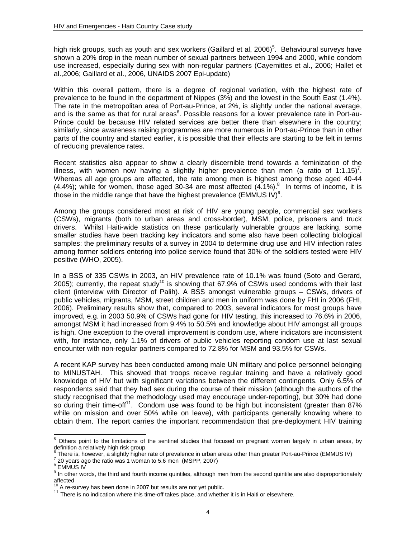high risk groups, such as youth and sex workers (Gaillard et al, 2006)<sup>5</sup>. Behavioural surveys have shown a 20% drop in the mean number of sexual partners between 1994 and 2000, while condom use increased, especially during sex with non-regular partners (Cayemittes et al., 2006; Hallet et al.,2006; Gaillard et al., 2006, UNAIDS 2007 Epi-update)

Within this overall pattern, there is a degree of regional variation, with the highest rate of prevalence to be found in the department of Nippes (3%) and the lowest in the South East (1.4%). The rate in the metropolitan area of Port-au-Prince, at 2%, is slightly under the national average, and is the same as that for rural areas<sup>6</sup>. Possible reasons for a lower prevalence rate in Port-au-Prince could be because HIV related services are better there than elsewhere in the country; similarly, since awareness raising programmes are more numerous in Port-au-Prince than in other parts of the country and started earlier, it is possible that their effects are starting to be felt in terms of reducing prevalence rates.

Recent statistics also appear to show a clearly discernible trend towards a feminization of the illness, with women now having a slightly higher prevalence than men (a ratio of 1:1.15)<sup>7</sup>. Whereas all age groups are affected, the rate among men is highest among those aged 40-44  $(4.4\%)$ ; while for women, those aged 30-34 are most affected  $(4.1\%)$ .<sup>8</sup> In terms of income, it is those in the middle range that have the highest prevalence (EMMUS IV)<sup>9</sup>.

Among the groups considered most at risk of HIV are young people, commercial sex workers (CSWs), migrants (both to urban areas and cross-border), MSM, police, prisoners and truck drivers. Whilst Haiti-wide statistics on these particularly vulnerable groups are lacking, some smaller studies have been tracking key indicators and some also have been collecting biological samples: the preliminary results of a survey in 2004 to determine drug use and HIV infection rates among former soldiers entering into police service found that 30% of the soldiers tested were HIV positive (WHO, 2005).

In a BSS of 335 CSWs in 2003, an HIV prevalence rate of 10.1% was found (Soto and Gerard, 2005); currently, the repeat study<sup>10</sup> is showing that 67.9% of CSWs used condoms with their last client (interview with Director of Palih). A BSS amongst vulnerable groups – CSWs, drivers of public vehicles, migrants, MSM, street children and men in uniform was done by FHI in 2006 (FHI, 2006). Preliminary results show that, compared to 2003, several indicators for most groups have improved, e.g. in 2003 50.9% of CSWs had gone for HIV testing, this increased to 76.6% in 2006, amongst MSM it had increased from 9.4% to 50.5% and knowledge about HIV amongst all groups is high. One exception to the overall improvement is condom use, where indicators are inconsistent with, for instance, only 1.1% of drivers of public vehicles reporting condom use at last sexual encounter with non-regular partners compared to 72.8% for MSM and 93.5% for CSWs.

A recent KAP survey has been conducted among male UN military and police personnel belonging to MINUSTAH. This showed that troops receive regular training and have a relatively good knowledge of HIV but with significant variations between the different contingents. Only 6.5% of respondents said that they had sex during the course of their mission (although the authors of the study recognised that the methodology used may encourage under-reporting), but 30% had done so during their time-off<sup>11</sup>. Condom use was found to be high but inconsistent (greater than 87% while on mission and over 50% while on leave), with participants generally knowing where to obtain them. The report carries the important recommendation that pre-deployment HIV training

 5 Others point to the limitations of the sentinel studies that focused on pregnant women largely in urban areas, by definition a relatively high risk group.

<sup>6</sup> There is, however, a slightly higher rate of prevalence in urban areas other than greater Port-au-Prince (EMMUS IV)

 $7$  20 years ago the ratio was 1 woman to 5.6 men (MSPP, 2007)

<sup>8</sup> EMMUS IV

<sup>&</sup>lt;sup>9</sup> In other words, the third and fourth income quintiles, although men from the second quintile are also disproportionately affected<br><sup>10</sup> A re-survey has been done in 2007 but results are not yet public.

 $11$  There is no indication where this time-off takes place, and whether it is in Haiti or elsewhere.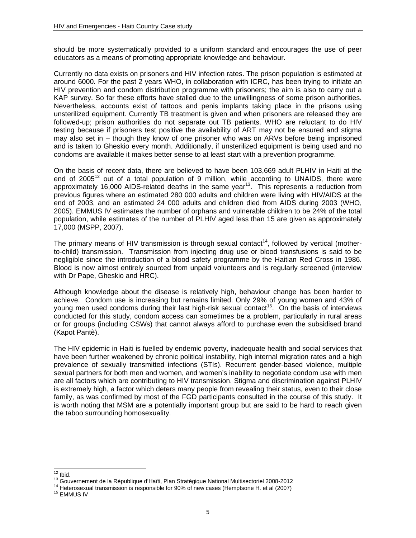should be more systematically provided to a uniform standard and encourages the use of peer educators as a means of promoting appropriate knowledge and behaviour.

Currently no data exists on prisoners and HIV infection rates. The prison population is estimated at around 6000. For the past 2 years WHO, in collaboration with ICRC, has been trying to initiate an HIV prevention and condom distribution programme with prisoners; the aim is also to carry out a KAP survey. So far these efforts have stalled due to the unwillingness of some prison authorities. Nevertheless, accounts exist of tattoos and penis implants taking place in the prisons using unsterilized equipment. Currently TB treatment is given and when prisoners are released they are followed-up; prison authorities do not separate out TB patients. WHO are reluctant to do HIV testing because if prisoners test positive the availability of ART may not be ensured and stigma may also set in – though they know of one prisoner who was on ARVs before being imprisoned and is taken to Gheskio every month. Additionally, if unsterilized equipment is being used and no condoms are available it makes better sense to at least start with a prevention programme.

On the basis of recent data, there are believed to have been 103,669 adult PLHIV in Haiti at the end of 2005<sup>12</sup> out of a total population of 9 million, while according to UNAIDS, there were approximately 16,000 AIDS-related deaths in the same year<sup>13</sup>. This represents a reduction from previous figures where an estimated 280 000 adults and children were living with HIV/AIDS at the end of 2003, and an estimated 24 000 adults and children died from AIDS during 2003 (WHO, 2005). EMMUS IV estimates the number of orphans and vulnerable children to be 24% of the total population, while estimates of the number of PLHIV aged less than 15 are given as approximately 17,000 (MSPP, 2007).

The primary means of HIV transmission is through sexual contact<sup>14</sup>, followed by vertical (motherto-child) transmission. Transmission from injecting drug use or blood transfusions is said to be negligible since the introduction of a blood safety programme by the Haitian Red Cross in 1986. Blood is now almost entirely sourced from unpaid volunteers and is regularly screened (interview with Dr Pape, Gheskio and HRC).

Although knowledge about the disease is relatively high, behaviour change has been harder to achieve. Condom use is increasing but remains limited. Only 29% of young women and 43% of young men used condoms during their last high-risk sexual contact<sup>15</sup>. On the basis of interviews conducted for this study, condom access can sometimes be a problem, particularly in rural areas or for groups (including CSWs) that cannot always afford to purchase even the subsidised brand (Kapot Pantè).

The HIV epidemic in Haiti is fuelled by endemic poverty, inadequate health and social services that have been further weakened by chronic political instability, high internal migration rates and a high prevalence of sexually transmitted infections (STIs). Recurrent gender-based violence, multiple sexual partners for both men and women, and women's inability to negotiate condom use with men are all factors which are contributing to HIV transmission. Stigma and discrimination against PLHIV is extremely high, a factor which deters many people from revealing their status, even to their close family, as was confirmed by most of the FGD participants consulted in the course of this study. It is worth noting that MSM are a potentially important group but are said to be hard to reach given the taboo surrounding homosexuality.

 $12$ 

<sup>&</sup>lt;sup>12</sup> Ibid.<br><sup>13</sup> Gouvernement de la République d'Haïti, Plan Stratégique National Multisectoriel 2008-2012<br><sup>14</sup> Heterosexual transmission is responsible for 90% of new cases (Hemptsone H. et al (2007)<br><sup>15</sup> EMMUS IV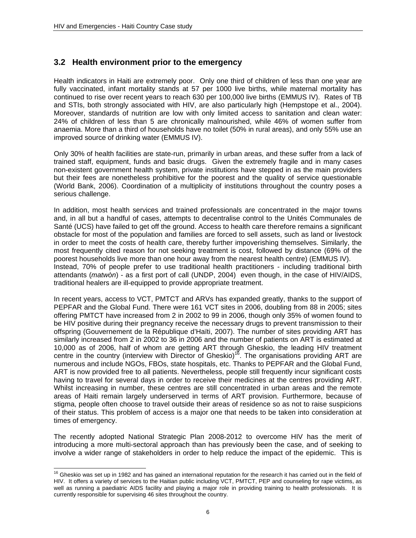$\overline{a}$ 

## **3.2 Health environment prior to the emergency**

Health indicators in Haiti are extremely poor. Only one third of children of less than one year are fully vaccinated, infant mortality stands at 57 per 1000 live births, while maternal mortality has continued to rise over recent years to reach 630 per 100,000 live births (EMMUS IV). Rates of TB and STIs, both strongly associated with HIV, are also particularly high (Hempstope et al., 2004). Moreover, standards of nutrition are low with only limited access to sanitation and clean water: 24% of children of less than 5 are chronically malnourished, while 46% of women suffer from anaemia. More than a third of households have no toilet (50% in rural areas), and only 55% use an improved source of drinking water (EMMUS IV).

Only 30% of health facilities are state-run, primarily in urban areas, and these suffer from a lack of trained staff, equipment, funds and basic drugs. Given the extremely fragile and in many cases non-existent government health system, private institutions have stepped in as the main providers but their fees are nonetheless prohibitive for the poorest and the quality of service questionable (World Bank, 2006). Coordination of a multiplicity of institutions throughout the country poses a serious challenge.

In addition, most health services and trained professionals are concentrated in the major towns and, in all but a handful of cases, attempts to decentralise control to the Unités Communales de Santé (UCS) have failed to get off the ground. Access to health care therefore remains a significant obstacle for most of the population and families are forced to sell assets, such as land or livestock in order to meet the costs of health care, thereby further impoverishing themselves. Similarly, the most frequently cited reason for not seeking treatment is cost, followed by distance (69% of the poorest households live more than one hour away from the nearest health centre) (EMMUS IV). Instead, 70% of people prefer to use traditional health practitioners - including traditional birth attendants (*matwòn*) - as a first port of call (UNDP, 2004) even though, in the case of HIV/AIDS, traditional healers are ill-equipped to provide appropriate treatment.

In recent years, access to VCT, PMTCT and ARVs has expanded greatly, thanks to the support of PEPFAR and the Global Fund. There were 161 VCT sites in 2006, doubling from 88 in 2005; sites offering PMTCT have increased from 2 in 2002 to 99 in 2006, though only 35% of women found to be HIV positive during their pregnancy receive the necessary drugs to prevent transmission to their offspring (Gouvernement de la République d'Haïti, 2007). The number of sites providing ART has similarly increased from 2 in 2002 to 36 in 2006 and the number of patients on ART is estimated at 10,000 as of 2006, half of whom are getting ART through Gheskio, the leading HIV treatment centre in the country (interview with Director of Gheskio)<sup>16</sup>. The organisations providing ART are numerous and include NGOs, FBOs, state hospitals, etc. Thanks to PEPFAR and the Global Fund, ART is now provided free to all patients. Nevertheless, people still frequently incur significant costs having to travel for several days in order to receive their medicines at the centres providing ART. Whilst increasing in number, these centres are still concentrated in urban areas and the remote areas of Haiti remain largely underserved in terms of ART provision. Furthermore, because of stigma, people often choose to travel outside their areas of residence so as not to raise suspicions of their status. This problem of access is a major one that needs to be taken into consideration at times of emergency.

The recently adopted National Strategic Plan 2008-2012 to overcome HIV has the merit of introducing a more multi-sectoral approach than has previously been the case, and of seeking to involve a wider range of stakeholders in order to help reduce the impact of the epidemic. This is

 $16$  Gheskio was set up in 1982 and has gained an international reputation for the research it has carried out in the field of HIV. It offers a variety of services to the Haitian public including VCT, PMTCT, PEP and counseling for rape victims, as well as running a paediatric AIDS facility and playing a major role in providing training to health professionals. It is currently responsible for supervising 46 sites throughout the country.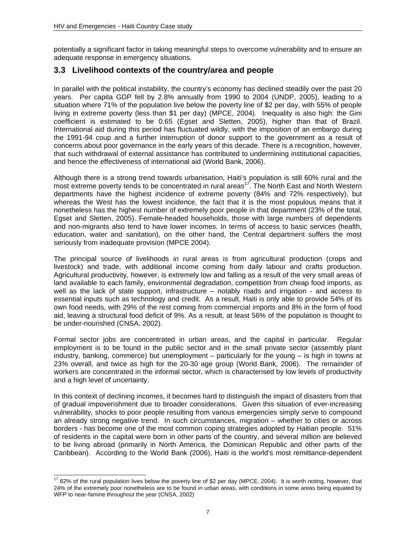potentially a significant factor in taking meaningful steps to overcome vulnerability and to ensure an adequate response in emergency situations.

## **3.3 Livelihood contexts of the country/area and people**

In parallel with the political instability, the country's economy has declined steadily over the past 20 years. Per capita GDP fell by 2.8% annually from 1990 to 2004 (UNDP, 2005), leading to a situation where 71% of the population live below the poverty line of \$2 per day, with 55% of people living in extreme poverty (less than \$1 per day) (MPCE, 2004). Inequality is also high: the Gini coefficient is estimated to be 0.65 (Egset and Sletten, 2005), higher than that of Brazil. International aid during this period has fluctuated wildly, with the imposition of an embargo during the 1991-94 coup and a further interruption of donor support to the government as a result of concerns about poor governance in the early years of this decade. There is a recognition, however, that such withdrawal of external assistance has contributed to undermining institutional capacities, and hence the effectiveness of international aid (World Bank, 2006).

Although there is a strong trend towards urbanisation, Haiti's population is still 60% rural and the most extreme poverty tends to be concentrated in rural areas<sup>17</sup>. The North East and North Western departments have the highest incidence of extreme poverty (84% and 72% respectively), but whereas the West has the lowest incidence, the fact that it is the most populous means that it nonetheless has the highest number of extremely poor people in that department (23% of the total, Egset and Sletten, 2005). Female-headed households, those with large numbers of dependents and non-migrants also tend to have lower incomes. In terms of access to basic services (health, education, water and sanitation), on the other hand, the Central department suffers the most seriously from inadequate provision (MPCE 2004).

The principal source of livelihoods in rural areas is from agricultural production (crops and livestock) and trade, with additional income coming from daily labour and crafts production. Agricultural productivity, however, is extremely low and falling as a result of the very small areas of land available to each family, environmental degradation, competition from cheap food imports, as well as the lack of state support, infrastructure – notably roads and irrigation - and access to essential inputs such as technology and credit. As a result, Haiti is only able to provide 54% of its own food needs, with 29% of the rest coming from commercial imports and 8% in the form of food aid, leaving a structural food deficit of 9%. As a result, at least 56% of the population is thought to be under-nourished (CNSA, 2002).

Formal sector jobs are concentrated in urban areas, and the capital in particular. Regular employment is to be found in the public sector and in the small private sector (assembly plant industry, banking, commerce) but unemployment – particularly for the young – is high in towns at 23% overall, and twice as high for the 20-30 age group (World Bank, 2006). The remainder of workers are concentrated in the informal sector, which is characterised by low levels of productivity and a high level of uncertainty.

In this context of declining incomes, it becomes hard to distinguish the impact of disasters from that of gradual impoverishment due to broader considerations. Given this situation of ever-increasing vulnerability, shocks to poor people resulting from various emergencies simply serve to compound an already strong negative trend. In such circumstances, migration – whether to cities or across borders - has become one of the most common coping strategies adopted by Haitian people. 51% of residents in the capital were born in other parts of the country, and several million are believed to be living abroad (primarily in North America, the Dominican Republic and other parts of the Caribbean). According to the World Bank (2006), Haiti is the world's most remittance-dependent

 $\overline{a}$  $1782\%$  of the rural population lives below the poverty line of \$2 per day (MPCE, 2004). It is worth noting, however, that 24% of the extremely poor nonetheless are to be found in urban areas, with conditions in some areas being equated by WFP to near-famine throughout the year (CNSA, 2002)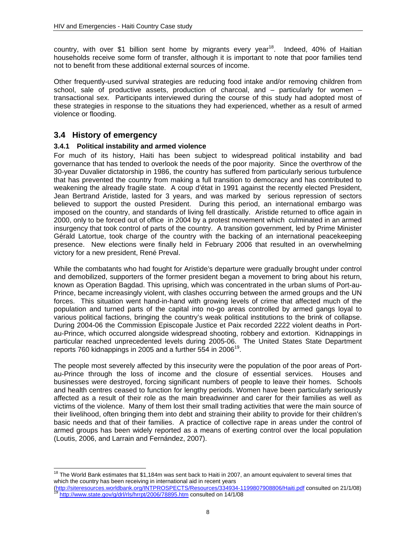country, with over \$1 billion sent home by migrants every year<sup>18</sup>. Indeed, 40% of Haitian households receive some form of transfer, although it is important to note that poor families tend not to benefit from these additional external sources of income.

Other frequently-used survival strategies are reducing food intake and/or removing children from school, sale of productive assets, production of charcoal, and – particularly for women – transactional sex. Participants interviewed during the course of this study had adopted most of these strategies in response to the situations they had experienced, whether as a result of armed violence or flooding.

### **3.4 History of emergency**

 $\overline{a}$ 

#### **3.4.1 Political instability and armed violence**

For much of its history, Haiti has been subject to widespread political instability and bad governance that has tended to overlook the needs of the poor majority. Since the overthrow of the 30-year Duvalier dictatorship in 1986, the country has suffered from particularly serious turbulence that has prevented the country from making a full transition to democracy and has contributed to weakening the already fragile state. A coup d'état in 1991 against the recently elected President, Jean Bertrand Aristide, lasted for 3 years, and was marked by serious repression of sectors believed to support the ousted President. During this period, an international embargo was imposed on the country, and standards of living fell drastically. Aristide returned to office again in 2000, only to be forced out of office in 2004 by a protest movement which culminated in an armed insurgency that took control of parts of the country. A transition government, led by Prime Minister Gérald Latortue, took charge of the country with the backing of an international peacekeeping presence. New elections were finally held in February 2006 that resulted in an overwhelming victory for a new president, René Preval.

While the combatants who had fought for Aristide's departure were gradually brought under control and demobilized, supporters of the former president began a movement to bring about his return, known as Operation Bagdad. This uprising, which was concentrated in the urban slums of Port-au-Prince, became increasingly violent, with clashes occurring between the armed groups and the UN forces. This situation went hand-in-hand with growing levels of crime that affected much of the population and turned parts of the capital into no-go areas controlled by armed gangs loyal to various political factions, bringing the country's weak political institutions to the brink of collapse. During 2004-06 the Commission Episcopale Justice et Paix recorded 2222 violent deaths in Portau-Prince, which occurred alongside widespread shooting, robbery and extortion. Kidnappings in particular reached unprecedented levels during 2005-06. The United States State Department reports 760 kidnappings in 2005 and a further 554 in 2006<sup>19</sup>.

The people most severely affected by this insecurity were the population of the poor areas of Portau-Prince through the loss of income and the closure of essential services. Houses and businesses were destroyed, forcing significant numbers of people to leave their homes. Schools and health centres ceased to function for lengthy periods. Women have been particularly seriously affected as a result of their role as the main breadwinner and carer for their families as well as victims of the violence. Many of them lost their small trading activities that were the main source of their livelihood, often bringing them into debt and straining their ability to provide for their children's basic needs and that of their families. A practice of collective rape in areas under the control of armed groups has been widely reported as a means of exerting control over the local population (Loutis, 2006, and Larrain and Fernández, 2007).

 $18$  The World Bank estimates that \$1,184m was sent back to Haiti in 2007, an amount equivalent to several times that which the country has been receiving in international aid in recent years

<sup>(</sup>http://siteresources.worldbank.org/INTPROSPECTS/Resources/334934-1199807908806/Haiti.pdf consulted on 21/1/08)<br><sup>19</sup> http://www.state.gov/g/drl/rls/hrrpt/2006/78895.htm consulted on 14/1/08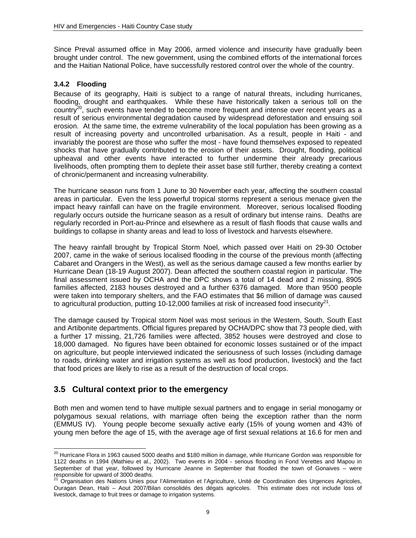Since Preval assumed office in May 2006, armed violence and insecurity have gradually been brought under control. The new government, using the combined efforts of the international forces and the Haitian National Police, have successfully restored control over the whole of the country.

### **3.4.2 Flooding**

Because of its geography, Haiti is subject to a range of natural threats, including hurricanes, flooding, drought and earthquakes. While these have historically taken a serious toll on the country<sup>20</sup>, such events have tended to become more frequent and intense over recent years as a result of serious environmental degradation caused by widespread deforestation and ensuing soil erosion. At the same time, the extreme vulnerability of the local population has been growing as a result of increasing poverty and uncontrolled urbanisation. As a result, people in Haiti - and invariably the poorest are those who suffer the most - have found themselves exposed to repeated shocks that have gradually contributed to the erosion of their assets. Drought, flooding, political upheaval and other events have interacted to further undermine their already precarious livelihoods, often prompting them to deplete their asset base still further, thereby creating a context of chronic/permanent and increasing vulnerability.

The hurricane season runs from 1 June to 30 November each year, affecting the southern coastal areas in particular. Even the less powerful tropical storms represent a serious menace given the impact heavy rainfall can have on the fragile environment. Moreover, serious localised flooding regularly occurs outside the hurricane season as a result of ordinary but intense rains. Deaths are regularly recorded in Port-au-Prince and elsewhere as a result of flash floods that cause walls and buildings to collapse in shanty areas and lead to loss of livestock and harvests elsewhere.

The heavy rainfall brought by Tropical Storm Noel, which passed over Haiti on 29-30 October 2007, came in the wake of serious localised flooding in the course of the previous month (affecting Cabaret and Orangers in the West), as well as the serious damage caused a few months earlier by Hurricane Dean (18-19 August 2007). Dean affected the southern coastal region in particular. The final assessment issued by OCHA and the DPC shows a total of 14 dead and 2 missing, 8905 families affected, 2183 houses destroyed and a further 6376 damaged. More than 9500 people were taken into temporary shelters, and the FAO estimates that \$6 million of damage was caused to agricultural production, putting 10-12,000 families at risk of increased food insecurity<sup>21</sup>.

The damage caused by Tropical storm Noel was most serious in the Western, South, South East and Artibonite departments. Official figures prepared by OCHA/DPC show that 73 people died, with a further 17 missing, 21,726 families were affected, 3852 houses were destroyed and close to 18,000 damaged. No figures have been obtained for economic losses sustained or of the impact on agriculture, but people interviewed indicated the seriousness of such losses (including damage to roads, drinking water and irrigation systems as well as food production, livestock) and the fact that food prices are likely to rise as a result of the destruction of local crops.

## **3.5 Cultural context prior to the emergency**

Both men and women tend to have multiple sexual partners and to engage in serial monogamy or polygamous sexual relations, with marriage often being the exception rather than the norm (EMMUS IV). Young people become sexually active early (15% of young women and 43% of young men before the age of 15, with the average age of first sexual relations at 16.6 for men and

 $\overline{a}$  $^{20}$  Hurricane Flora in 1963 caused 5000 deaths and \$180 million in damage, while Hurricane Gordon was responsible for 1122 deaths in 1994 (Mathieu et al., 2002). Two events in 2004 - serious flooding in Fond Verettes and Mapou in September of that year, followed by Hurricane Jeanne in September that flooded the town of Gonaives – were

responsible for upward of 3000 deaths.<br><sup>21</sup> Organisation des Nations Unies pour l'Alimentation et l'Agriculture, Unité de Coordination des Urgences Agricoles, Ouragan Dean, Haiti – Aout 2007/Bilan consolidés des dégats agricoles. This estimate does not include loss of livestock, damage to fruit trees or damage to irrigation systems.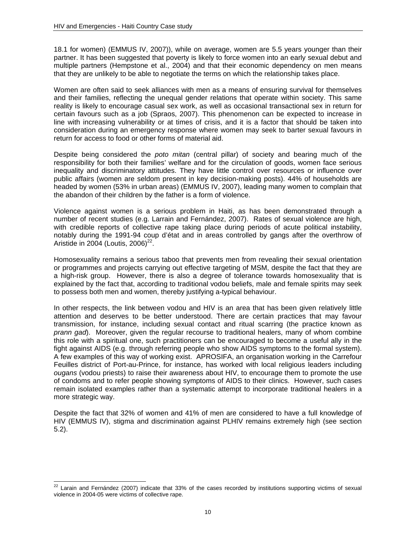18.1 for women) (EMMUS IV, 2007)), while on average, women are 5.5 years younger than their partner. It has been suggested that poverty is likely to force women into an early sexual debut and multiple partners (Hempstone et al., 2004) and that their economic dependency on men means that they are unlikely to be able to negotiate the terms on which the relationship takes place.

Women are often said to seek alliances with men as a means of ensuring survival for themselves and their families, reflecting the unequal gender relations that operate within society. This same reality is likely to encourage casual sex work, as well as occasional transactional sex in return for certain favours such as a job (Spraos, 2007). This phenomenon can be expected to increase in line with increasing vulnerability or at times of crisis, and it is a factor that should be taken into consideration during an emergency response where women may seek to barter sexual favours in return for access to food or other forms of material aid.

Despite being considered the *poto mitan* (central pillar) of society and bearing much of the responsibility for both their families' welfare and for the circulation of goods, women face serious inequality and discriminatory attitudes. They have little control over resources or influence over public affairs (women are seldom present in key decision-making posts). 44% of households are headed by women (53% in urban areas) (EMMUS IV, 2007), leading many women to complain that the abandon of their children by the father is a form of violence.

Violence against women is a serious problem in Haiti, as has been demonstrated through a number of recent studies (e.g. Larrain and Fernández, 2007). Rates of sexual violence are high, with credible reports of collective rape taking place during periods of acute political instability, notably during the 1991-94 coup d'état and in areas controlled by gangs after the overthrow of Aristide in 2004 (Loutis,  $2006)^{22}$ .

Homosexuality remains a serious taboo that prevents men from revealing their sexual orientation or programmes and projects carrying out effective targeting of MSM, despite the fact that they are a high-risk group. However, there is also a degree of tolerance towards homosexuality that is explained by the fact that, according to traditional vodou beliefs, male and female spirits may seek to possess both men and women, thereby justifying a-typical behaviour.

In other respects, the link between vodou and HIV is an area that has been given relatively little attention and deserves to be better understood. There are certain practices that may favour transmission, for instance, including sexual contact and ritual scarring (the practice known as *prann gad*). Moreover, given the regular recourse to traditional healers, many of whom combine this role with a spiritual one, such practitioners can be encouraged to become a useful ally in the fight against AIDS (e.g. through referring people who show AIDS symptoms to the formal system). A few examples of this way of working exist. APROSIFA, an organisation working in the Carrefour Feuilles district of Port-au-Prince, for instance, has worked with local religious leaders including *ougans* (vodou priests) to raise their awareness about HIV, to encourage them to promote the use of condoms and to refer people showing symptoms of AIDS to their clinics. However, such cases remain isolated examples rather than a systematic attempt to incorporate traditional healers in a more strategic way.

Despite the fact that 32% of women and 41% of men are considered to have a full knowledge of HIV (EMMUS IV), stigma and discrimination against PLHIV remains extremely high (see section 5.2).

l  $^{22}$  Larain and Fernández (2007) indicate that 33% of the cases recorded by institutions supporting victims of sexual violence in 2004-05 were victims of collective rape.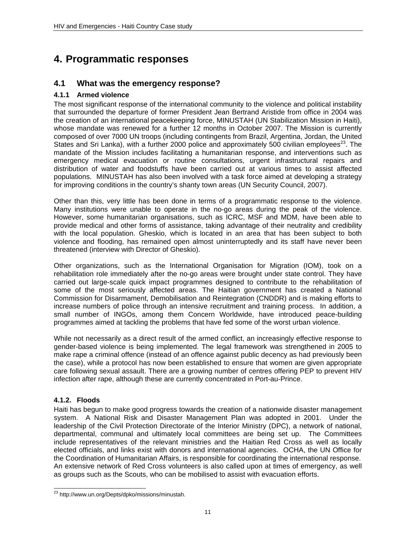# **4. Programmatic responses**

### **4.1 What was the emergency response?**

#### **4.1.1 Armed violence**

The most significant response of the international community to the violence and political instability that surrounded the departure of former President Jean Bertrand Aristide from office in 2004 was the creation of an international peacekeeping force, MINUSTAH (UN Stabilization Mission in Haiti), whose mandate was renewed for a further 12 months in October 2007. The Mission is currently composed of over 7000 UN troops (including contingents from Brazil, Argentina, Jordan, the United States and Sri Lanka), with a further 2000 police and approximately 500 civilian employees<sup>23</sup>. The mandate of the Mission includes facilitating a humanitarian response, and interventions such as emergency medical evacuation or routine consultations, urgent infrastructural repairs and distribution of water and foodstuffs have been carried out at various times to assist affected populations. MINUSTAH has also been involved with a task force aimed at developing a strategy for improving conditions in the country's shanty town areas (UN Security Council, 2007).

Other than this, very little has been done in terms of a programmatic response to the violence. Many institutions were unable to operate in the no-go areas during the peak of the violence. However, some humanitarian organisations, such as ICRC, MSF and MDM, have been able to provide medical and other forms of assistance, taking advantage of their neutrality and credibility with the local population. Gheskio, which is located in an area that has been subject to both violence and flooding, has remained open almost uninterruptedly and its staff have never been threatened (interview with Director of Gheskio).

Other organizations, such as the International Organisation for Migration (IOM), took on a rehabilitation role immediately after the no-go areas were brought under state control. They have carried out large-scale quick impact programmes designed to contribute to the rehabilitation of some of the most seriously affected areas. The Haitian government has created a National Commission for Disarmament, Demobilisation and Reintegration (CNDDR) and is making efforts to increase numbers of police through an intensive recruitment and training process. In addition, a small number of INGOs, among them Concern Worldwide, have introduced peace-building programmes aimed at tackling the problems that have fed some of the worst urban violence.

While not necessarily as a direct result of the armed conflict, an increasingly effective response to gender-based violence is being implemented. The legal framework was strengthened in 2005 to make rape a criminal offence (instead of an offence against public decency as had previously been the case), while a protocol has now been established to ensure that women are given appropriate care following sexual assault. There are a growing number of centres offering PEP to prevent HIV infection after rape, although these are currently concentrated in Port-au-Prince.

### **4.1.2. Floods**

Haiti has begun to make good progress towards the creation of a nationwide disaster management system. A National Risk and Disaster Management Plan was adopted in 2001. Under the leadership of the Civil Protection Directorate of the Interior Ministry (DPC), a network of national, departmental, communal and ultimately local committees are being set up. The Committees include representatives of the relevant ministries and the Haitian Red Cross as well as locally elected officials, and links exist with donors and international agencies. OCHA, the UN Office for the Coordination of Humanitarian Affairs, is responsible for coordinating the international response. An extensive network of Red Cross volunteers is also called upon at times of emergency, as well as groups such as the Scouts, who can be mobilised to assist with evacuation efforts.

l <sup>23</sup> http://www.un.org/Depts/dpko/missions/minustah.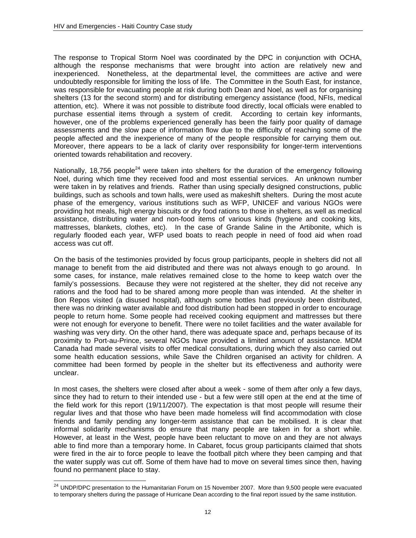The response to Tropical Storm Noel was coordinated by the DPC in conjunction with OCHA, although the response mechanisms that were brought into action are relatively new and inexperienced. Nonetheless, at the departmental level, the committees are active and were undoubtedly responsible for limiting the loss of life. The Committee in the South East, for instance, was responsible for evacuating people at risk during both Dean and Noel, as well as for organising shelters (13 for the second storm) and for distributing emergency assistance (food, NFIs, medical attention, etc). Where it was not possible to distribute food directly, local officials were enabled to purchase essential items through a system of credit. According to certain key informants, however, one of the problems experienced generally has been the fairly poor quality of damage assessments and the slow pace of information flow due to the difficulty of reaching some of the people affected and the inexperience of many of the people responsible for carrying them out. Moreover, there appears to be a lack of clarity over responsibility for longer-term interventions oriented towards rehabilitation and recovery.

Nationally, 18,756 people<sup>24</sup> were taken into shelters for the duration of the emergency following Noel, during which time they received food and most essential services. An unknown number were taken in by relatives and friends. Rather than using specially designed constructions, public buildings, such as schools and town halls, were used as makeshift shelters. During the most acute phase of the emergency, various institutions such as WFP, UNICEF and various NGOs were providing hot meals, high energy biscuits or dry food rations to those in shelters, as well as medical assistance, distributing water and non-food items of various kinds (hygiene and cooking kits, mattresses, blankets, clothes, etc). In the case of Grande Saline in the Artibonite, which is regularly flooded each year, WFP used boats to reach people in need of food aid when road access was cut off.

On the basis of the testimonies provided by focus group participants, people in shelters did not all manage to benefit from the aid distributed and there was not always enough to go around. In some cases, for instance, male relatives remained close to the home to keep watch over the family's possessions. Because they were not registered at the shelter, they did not receive any rations and the food had to be shared among more people than was intended. At the shelter in Bon Repos visited (a disused hospital), although some bottles had previously been distributed, there was no drinking water available and food distribution had been stopped in order to encourage people to return home. Some people had received cooking equipment and mattresses but there were not enough for everyone to benefit. There were no toilet facilities and the water available for washing was very dirty. On the other hand, there was adequate space and, perhaps because of its proximity to Port-au-Prince, several NGOs have provided a limited amount of assistance. MDM Canada had made several visits to offer medical consultations, during which they also carried out some health education sessions, while Save the Children organised an activity for children. A committee had been formed by people in the shelter but its effectiveness and authority were unclear.

In most cases, the shelters were closed after about a week - some of them after only a few days, since they had to return to their intended use - but a few were still open at the end at the time of the field work for this report (19/11/2007). The expectation is that most people will resume their regular lives and that those who have been made homeless will find accommodation with close friends and family pending any longer-term assistance that can be mobilised. It is clear that informal solidarity mechanisms do ensure that many people are taken in for a short while. However, at least in the West, people have been reluctant to move on and they are not always able to find more than a temporary home. In Cabaret, focus group participants claimed that shots were fired in the air to force people to leave the football pitch where they been camping and that the water supply was cut off. Some of them have had to move on several times since then, having found no permanent place to stay.

 $\overline{a}$ 

 $^{24}$  UNDP/DPC presentation to the Humanitarian Forum on 15 November 2007. More than 9,500 people were evacuated to temporary shelters during the passage of Hurricane Dean according to the final report issued by the same institution.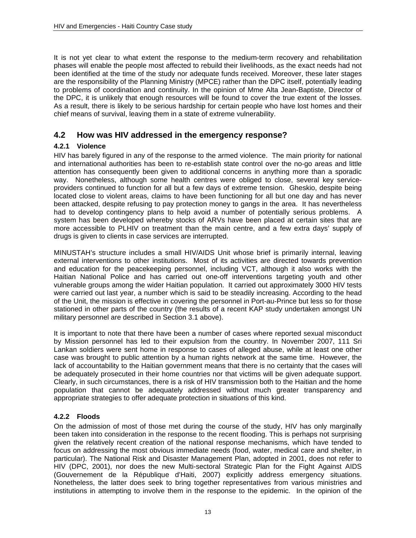It is not yet clear to what extent the response to the medium-term recovery and rehabilitation phases will enable the people most affected to rebuild their livelihoods, as the exact needs had not been identified at the time of the study nor adequate funds received. Moreover, these later stages are the responsibility of the Planning Ministry (MPCE) rather than the DPC itself, potentially leading to problems of coordination and continuity. In the opinion of Mme Alta Jean-Baptiste, Director of the DPC, it is unlikely that enough resources will be found to cover the true extent of the losses. As a result, there is likely to be serious hardship for certain people who have lost homes and their chief means of survival, leaving them in a state of extreme vulnerability.

### **4.2 How was HIV addressed in the emergency response?**

### **4.2.1 Violence**

HIV has barely figured in any of the response to the armed violence. The main priority for national and international authorities has been to re-establish state control over the no-go areas and little attention has consequently been given to additional concerns in anything more than a sporadic way. Nonetheless, although some health centres were obliged to close, several key serviceproviders continued to function for all but a few days of extreme tension. Gheskio, despite being located close to violent areas, claims to have been functioning for all but one day and has never been attacked, despite refusing to pay protection money to gangs in the area. It has nevertheless had to develop contingency plans to help avoid a number of potentially serious problems. A system has been developed whereby stocks of ARVs have been placed at certain sites that are more accessible to PLHIV on treatment than the main centre, and a few extra days' supply of drugs is given to clients in case services are interrupted.

MINUSTAH's structure includes a small HIV/AIDS Unit whose brief is primarily internal, leaving external interventions to other institutions. Most of its activities are directed towards prevention and education for the peacekeeping personnel, including VCT, although it also works with the Haitian National Police and has carried out one-off interventions targeting youth and other vulnerable groups among the wider Haitian population. It carried out approximately 3000 HIV tests were carried out last year, a number which is said to be steadily increasing. According to the head of the Unit, the mission is effective in covering the personnel in Port-au-Prince but less so for those stationed in other parts of the country (the results of a recent KAP study undertaken amongst UN military personnel are described in Section 3.1 above).

It is important to note that there have been a number of cases where reported sexual misconduct by Mission personnel has led to their expulsion from the country. In November 2007, 111 Sri Lankan soldiers were sent home in response to cases of alleged abuse, while at least one other case was brought to public attention by a human rights network at the same time. However, the lack of accountability to the Haitian government means that there is no certainty that the cases will be adequately prosecuted in their home countries nor that victims will be given adequate support. Clearly, in such circumstances, there is a risk of HIV transmission both to the Haitian and the home population that cannot be adequately addressed without much greater transparency and appropriate strategies to offer adequate protection in situations of this kind.

### **4.2.2 Floods**

On the admission of most of those met during the course of the study, HIV has only marginally been taken into consideration in the response to the recent flooding. This is perhaps not surprising given the relatively recent creation of the national response mechanisms, which have tended to focus on addressing the most obvious immediate needs (food, water, medical care and shelter, in particular). The National Risk and Disaster Management Plan, adopted in 2001, does not refer to HIV (DPC, 2001), nor does the new Multi-sectoral Strategic Plan for the Fight Against AIDS (Gouvernement de la République d'Haiti, 2007) explicitly address emergency situations. Nonetheless, the latter does seek to bring together representatives from various ministries and institutions in attempting to involve them in the response to the epidemic. In the opinion of the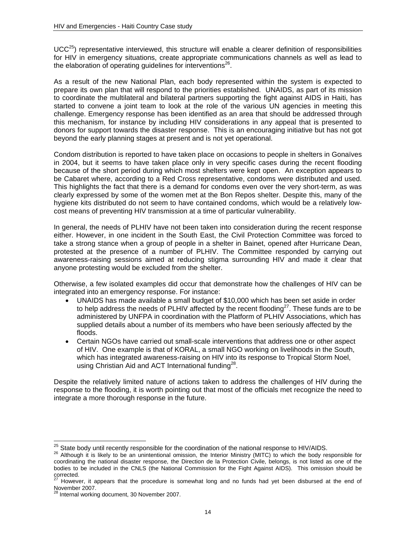$UCC<sup>25</sup>$ ) representative interviewed, this structure will enable a clearer definition of responsibilities for HIV in emergency situations, create appropriate communications channels as well as lead to the elaboration of operating guidelines for interventions<sup>26</sup>.

As a result of the new National Plan, each body represented within the system is expected to prepare its own plan that will respond to the priorities established. UNAIDS, as part of its mission to coordinate the multilateral and bilateral partners supporting the fight against AIDS in Haiti, has started to convene a joint team to look at the role of the various UN agencies in meeting this challenge. Emergency response has been identified as an area that should be addressed through this mechanism, for instance by including HIV considerations in any appeal that is presented to donors for support towards the disaster response. This is an encouraging initiative but has not got beyond the early planning stages at present and is not yet operational.

Condom distribution is reported to have taken place on occasions to people in shelters in Gonaïves in 2004, but it seems to have taken place only in very specific cases during the recent flooding because of the short period during which most shelters were kept open. An exception appears to be Cabaret where, according to a Red Cross representative, condoms were distributed and used. This highlights the fact that there is a demand for condoms even over the very short-term, as was clearly expressed by some of the women met at the Bon Repos shelter. Despite this, many of the hygiene kits distributed do not seem to have contained condoms, which would be a relatively lowcost means of preventing HIV transmission at a time of particular vulnerability.

In general, the needs of PLHIV have not been taken into consideration during the recent response either. However, in one incident in the South East, the Civil Protection Committee was forced to take a strong stance when a group of people in a shelter in Bainet, opened after Hurricane Dean, protested at the presence of a number of PLHIV. The Committee responded by carrying out awareness-raising sessions aimed at reducing stigma surrounding HIV and made it clear that anyone protesting would be excluded from the shelter.

Otherwise, a few isolated examples did occur that demonstrate how the challenges of HIV can be integrated into an emergency response. For instance:

- UNAIDS has made available a small budget of \$10,000 which has been set aside in order to help address the needs of PLHIV affected by the recent flooding<sup>27</sup>. These funds are to be administered by UNFPA in coordination with the Platform of PLHIV Associations, which has supplied details about a number of its members who have been seriously affected by the floods.
- Certain NGOs have carried out small-scale interventions that address one or other aspect of HIV. One example is that of KORAL, a small NGO working on livelihoods in the South, which has integrated awareness-raising on HIV into its response to Tropical Storm Noel, using Christian Aid and ACT International funding<sup>28</sup>.

Despite the relatively limited nature of actions taken to address the challenges of HIV during the response to the flooding, it is worth pointing out that most of the officials met recognize the need to integrate a more thorough response in the future.

<sup>&</sup>lt;sup>25</sup> State body until recently responsible for the coordination of the national response to HIV/AIDS.

<sup>&</sup>lt;sup>26</sup> Although it is likely to be an unintentional omission, the Interior Ministry (MITC) to which the body responsible for coordinating the national disaster response, the Direction de la Protection Civile, belongs, is not listed as one of the bodies to be included in the CNLS (the National Commission for the Fight Against AIDS). This omission should be corrected.

However, it appears that the procedure is somewhat long and no funds had yet been disbursed at the end of November 2007.

<sup>28</sup> Internal working document, 30 November 2007.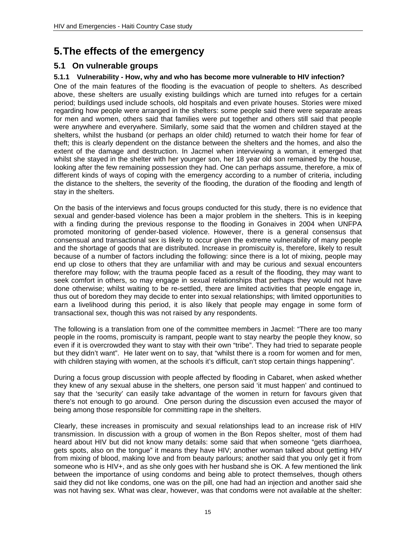# **5. The effects of the emergency**

### **5.1 On vulnerable groups**

### **5.1.1 Vulnerability - How, why and who has become more vulnerable to HIV infection?**

One of the main features of the flooding is the evacuation of people to shelters. As described above, these shelters are usually existing buildings which are turned into refuges for a certain period; buildings used include schools, old hospitals and even private houses. Stories were mixed regarding how people were arranged in the shelters: some people said there were separate areas for men and women, others said that families were put together and others still said that people were anywhere and everywhere. Similarly, some said that the women and children stayed at the shelters, whilst the husband (or perhaps an older child) returned to watch their home for fear of theft; this is clearly dependent on the distance between the shelters and the homes, and also the extent of the damage and destruction. In Jacmel when interviewing a woman, it emerged that whilst she stayed in the shelter with her younger son, her 18 year old son remained by the house, looking after the few remaining possession they had. One can perhaps assume, therefore, a mix of different kinds of ways of coping with the emergency according to a number of criteria, including the distance to the shelters, the severity of the flooding, the duration of the flooding and length of stay in the shelters.

On the basis of the interviews and focus groups conducted for this study, there is no evidence that sexual and gender-based violence has been a major problem in the shelters. This is in keeping with a finding during the previous response to the flooding in Gonaives in 2004 when UNFPA promoted monitoring of gender-based violence. However, there is a general consensus that consensual and transactional sex is likely to occur given the extreme vulnerability of many people and the shortage of goods that are distributed. Increase in promiscuity is, therefore, likely to result because of a number of factors including the following: since there is a lot of mixing, people may end up close to others that they are unfamiliar with and may be curious and sexual encounters therefore may follow; with the trauma people faced as a result of the flooding, they may want to seek comfort in others, so may engage in sexual relationships that perhaps they would not have done otherwise; whilst waiting to be re-settled, there are limited activities that people engage in, thus out of boredom they may decide to enter into sexual relationships; with limited opportunities to earn a livelihood during this period, it is also likely that people may engage in some form of transactional sex, though this was not raised by any respondents.

The following is a translation from one of the committee members in Jacmel: "There are too many people in the rooms, promiscuity is rampant, people want to stay nearby the people they know, so even if it is overcrowded they want to stay with their own "tribe". They had tried to separate people but they didn't want". He later went on to say, that "whilst there is a room for women and for men, with children staying with women, at the schools it's difficult, can't stop certain things happening".

During a focus group discussion with people affected by flooding in Cabaret, when asked whether they knew of any sexual abuse in the shelters, one person said 'it must happen' and continued to say that the 'security' can easily take advantage of the women in return for favours given that there's not enough to go around. One person during the discussion even accused the mayor of being among those responsible for committing rape in the shelters.

Clearly, these increases in promiscuity and sexual relationships lead to an increase risk of HIV transmission. In discussion with a group of women in the Bon Repos shelter, most of them had heard about HIV but did not know many details: some said that when someone "gets diarrhoea, gets spots, also on the tongue" it means they have HIV; another woman talked about getting HIV from mixing of blood, making love and from beauty parlours; another said that you only get it from someone who is HIV+, and as she only goes with her husband she is OK. A few mentioned the link between the importance of using condoms and being able to protect themselves, though others said they did not like condoms, one was on the pill, one had had an injection and another said she was not having sex. What was clear, however, was that condoms were not available at the shelter: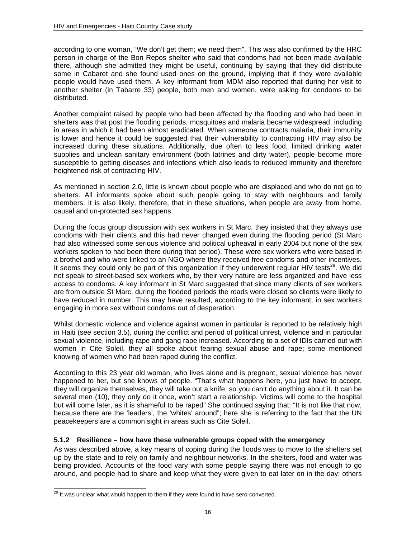according to one woman, "We don't get them; we need them". This was also confirmed by the HRC person in charge of the Bon Repos shelter who said that condoms had not been made available there, although she admitted they might be useful, continuing by saying that they did distribute some in Cabaret and she found used ones on the ground, implying that if they were available people would have used them. A key informant from MDM also reported that during her visit to another shelter (in Tabarre 33) people, both men and women, were asking for condoms to be distributed.

Another complaint raised by people who had been affected by the flooding and who had been in shelters was that post the flooding periods, mosquitoes and malaria became widespread, including in areas in which it had been almost eradicated. When someone contracts malaria, their immunity is lower and hence it could be suggested that their vulnerability to contracting HIV may also be increased during these situations. Additionally, due often to less food, limited drinking water supplies and unclean sanitary environment (both latrines and dirty water), people become more susceptible to getting diseases and infections which also leads to reduced immunity and therefore heightened risk of contracting HIV.

As mentioned in section 2.0, little is known about people who are displaced and who do not go to shelters. All informants spoke about such people going to stay with neighbours and family members. It is also likely, therefore, that in these situations, when people are away from home, causal and un-protected sex happens.

During the focus group discussion with sex workers in St Marc, they insisted that they always use condoms with their clients and this had never changed even during the flooding period (St Marc had also witnessed some serious violence and political upheaval in early 2004 but none of the sex workers spoken to had been there during that period). These were sex workers who were based in a brothel and who were linked to an NGO where they received free condoms and other incentives. It seems they could only be part of this organization if they underwent regular HIV tests<sup>29</sup>. We did not speak to street-based sex workers who, by their very nature are less organized and have less access to condoms. A key informant in St Marc suggested that since many clients of sex workers are from outside St Marc, during the flooded periods the roads were closed so clients were likely to have reduced in number. This may have resulted, according to the key informant, in sex workers engaging in more sex without condoms out of desperation.

Whilst domestic violence and violence against women in particular is reported to be relatively high in Haiti (see section 3.5), during the conflict and period of political unrest, violence and in particular sexual violence, including rape and gang rape increased. According to a set of IDIs carried out with women in Cite Soleil, they all spoke about fearing sexual abuse and rape; some mentioned knowing of women who had been raped during the conflict.

According to this 23 year old woman, who lives alone and is pregnant, sexual violence has never happened to her, but she knows of people. "That's what happens here, you just have to accept, they will organize themselves, they will take out a knife, so you can't do anything about it. It can be several men (10), they only do it once, won't start a relationship. Victims will come to the hospital but will come later, as it is shameful to be raped" She continued saying that: "It is not like that now, because there are the 'leaders', the 'whites' around"; here she is referring to the fact that the UN peacekeepers are a common sight in areas such as Cite Soleil.

#### **5.1.2 Resilience – how have these vulnerable groups coped with the emergency**

As was described above, a key means of coping during the floods was to move to the shelters set up by the state and to rely on family and neighbour networks. In the shelters, food and water was being provided. Accounts of the food vary with some people saying there was not enough to go around, and people had to share and keep what they were given to eat later on in the day; others

l

 $^{29}$  It was unclear what would happen to them if they were found to have sero-converted.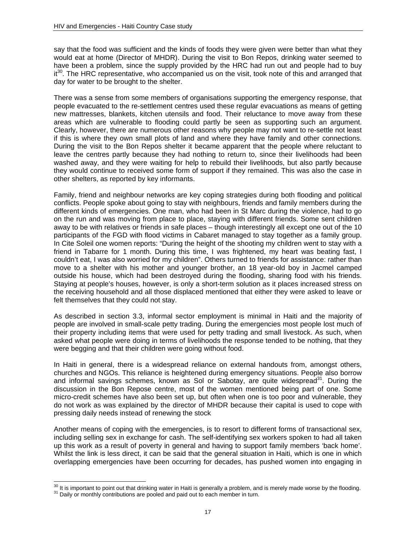say that the food was sufficient and the kinds of foods they were given were better than what they would eat at home (Director of MHDR). During the visit to Bon Repos, drinking water seemed to have been a problem, since the supply provided by the HRC had run out and people had to buy  $i$ <sup>30</sup>. The HRC representative, who accompanied us on the visit, took note of this and arranged that day for water to be brought to the shelter.

There was a sense from some members of organisations supporting the emergency response, that people evacuated to the re-settlement centres used these regular evacuations as means of getting new mattresses, blankets, kitchen utensils and food. Their reluctance to move away from these areas which are vulnerable to flooding could partly be seen as supporting such an argument. Clearly, however, there are numerous other reasons why people may not want to re-settle not least if this is where they own small plots of land and where they have family and other connections. During the visit to the Bon Repos shelter it became apparent that the people where reluctant to leave the centres partly because they had nothing to return to, since their livelihoods had been washed away, and they were waiting for help to rebuild their livelihoods, but also partly because they would continue to received some form of support if they remained. This was also the case in other shelters, as reported by key informants.

Family, friend and neighbour networks are key coping strategies during both flooding and political conflicts. People spoke about going to stay with neighbours, friends and family members during the different kinds of emergencies. One man, who had been in St Marc during the violence, had to go on the run and was moving from place to place, staying with different friends. Some sent children away to be with relatives or friends in safe places – though interestingly all except one out of the 10 participants of the FGD with flood victims in Cabaret managed to stay together as a family group. In Cite Soleil one women reports: "During the height of the shooting my children went to stay with a friend in Tabarre for 1 month. During this time, I was frightened, my heart was beating fast, I couldn't eat, I was also worried for my children". Others turned to friends for assistance: rather than move to a shelter with his mother and younger brother, an 18 year-old boy in Jacmel camped outside his house, which had been destroyed during the flooding, sharing food with his friends. Staying at people's houses, however, is only a short-term solution as it places increased stress on the receiving household and all those displaced mentioned that either they were asked to leave or felt themselves that they could not stay.

As described in section 3.3, informal sector employment is minimal in Haiti and the majority of people are involved in small-scale petty trading. During the emergencies most people lost much of their property including items that were used for petty trading and small livestock. As such, when asked what people were doing in terms of livelihoods the response tended to be nothing, that they were begging and that their children were going without food.

In Haiti in general, there is a widespread reliance on external handouts from, amongst others, churches and NGOs. This reliance is heightened during emergency situations. People also borrow and informal savings schemes, known as Sol or Sabotay, are quite widespread<sup>31</sup>. During the discussion in the Bon Repose centre, most of the women mentioned being part of one. Some micro-credit schemes have also been set up, but often when one is too poor and vulnerable, they do not work as was explained by the director of MHDR because their capital is used to cope with pressing daily needs instead of renewing the stock

Another means of coping with the emergencies, is to resort to different forms of transactional sex, including selling sex in exchange for cash. The self-identifying sex workers spoken to had all taken up this work as a result of poverty in general and having to support family members 'back home'. Whilst the link is less direct, it can be said that the general situation in Haiti, which is one in which overlapping emergencies have been occurring for decades, has pushed women into engaging in

 $\overline{a}$ 

 $^{30}$  It is important to point out that drinking water in Haiti is generally a problem, and is merely made worse by the flooding.<br><sup>31</sup> Daily or monthly contributions are pooled and paid out to each member in turn.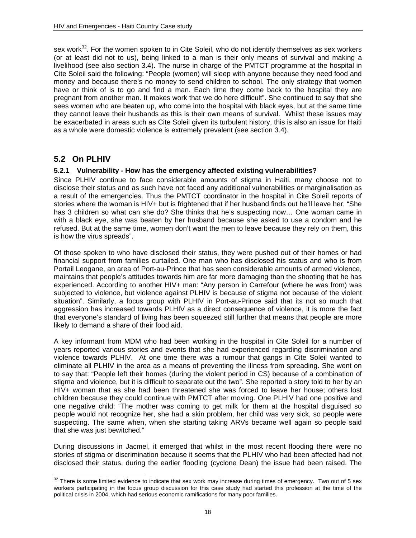sex work<sup>32</sup>. For the women spoken to in Cite Soleil, who do not identify themselves as sex workers (or at least did not to us), being linked to a man is their only means of survival and making a livelihood (see also section 3.4). The nurse in charge of the PMTCT programme at the hospital in Cite Soleil said the following: "People (women) will sleep with anyone because they need food and money and because there's no money to send children to school. The only strategy that women have or think of is to go and find a man. Each time they come back to the hospital they are pregnant from another man. It makes work that we do here difficult". She continued to say that she sees women who are beaten up, who come into the hospital with black eyes, but at the same time they cannot leave their husbands as this is their own means of survival. Whilst these issues may be exacerbated in areas such as Cite Soleil given its turbulent history, this is also an issue for Haiti as a whole were domestic violence is extremely prevalent (see section 3.4).

## **5.2 On PLHIV**

### **5.2.1 Vulnerability - How has the emergency affected existing vulnerabilities?**

Since PLHIV continue to face considerable amounts of stigma in Haiti, many choose not to disclose their status and as such have not faced any additional vulnerabilities or marginalisation as a result of the emergencies. Thus the PMTCT coordinator in the hospital in Cite Soleil reports of stories where the woman is HIV+ but is frightened that if her husband finds out he'll leave her, "She has 3 children so what can she do? She thinks that he's suspecting now… One woman came in with a black eye, she was beaten by her husband because she asked to use a condom and he refused. But at the same time, women don't want the men to leave because they rely on them, this is how the virus spreads".

Of those spoken to who have disclosed their status, they were pushed out of their homes or had financial support from families curtailed. One man who has disclosed his status and who is from Portail Leogane, an area of Port-au-Prince that has seen considerable amounts of armed violence, maintains that people's attitudes towards him are far more damaging than the shooting that he has experienced. According to another HIV+ man: "Any person in Carrefour (where he was from) was subjected to violence, but violence against PLHIV is because of stigma not because of the violent situation". Similarly, a focus group with PLHIV in Port-au-Prince said that its not so much that aggression has increased towards PLHIV as a direct consequence of violence, it is more the fact that everyone's standard of living has been squeezed still further that means that people are more likely to demand a share of their food aid.

A key informant from MDM who had been working in the hospital in Cite Soleil for a number of years reported various stories and events that she had experienced regarding discrimination and violence towards PLHIV. At one time there was a rumour that gangs in Cite Soleil wanted to eliminate all PLHIV in the area as a means of preventing the illness from spreading. She went on to say that: "People left their homes (during the violent period in CS) because of a combination of stigma and violence, but it is difficult to separate out the two". She reported a story told to her by an HIV+ woman that as she had been threatened she was forced to leave her house; others lost children because they could continue with PMTCT after moving. One PLHIV had one positive and one negative child: "The mother was coming to get milk for them at the hospital disguised so people would not recognize her, she had a skin problem, her child was very sick, so people were suspecting. The same when, when she starting taking ARVs became well again so people said that she was just bewitched."

During discussions in Jacmel, it emerged that whilst in the most recent flooding there were no stories of stigma or discrimination because it seems that the PLHIV who had been affected had not disclosed their status, during the earlier flooding (cyclone Dean) the issue had been raised. The

 $\overline{a}$  $32$  There is some limited evidence to indicate that sex work may increase during times of emergency. Two out of 5 sex workers participating in the focus group discussion for this case study had started this profession at the time of the political crisis in 2004, which had serious economic ramifications for many poor families.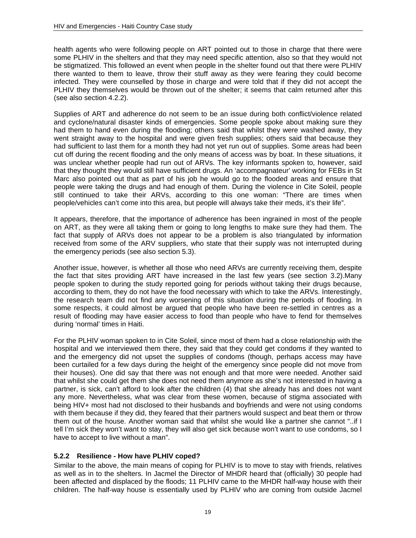health agents who were following people on ART pointed out to those in charge that there were some PLHIV in the shelters and that they may need specific attention, also so that they would not be stigmatized. This followed an event when people in the shelter found out that there were PLHIV there wanted to them to leave, throw their stuff away as they were fearing they could become infected. They were counselled by those in charge and were told that if they did not accept the PLHIV they themselves would be thrown out of the shelter; it seems that calm returned after this (see also section 4.2.2).

Supplies of ART and adherence do not seem to be an issue during both conflict/violence related and cyclone/natural disaster kinds of emergencies. Some people spoke about making sure they had them to hand even during the flooding; others said that whilst they were washed away, they went straight away to the hospital and were given fresh supplies; others said that because they had sufficient to last them for a month they had not yet run out of supplies. Some areas had been cut off during the recent flooding and the only means of access was by boat. In these situations, it was unclear whether people had run out of ARVs. The key informants spoken to, however, said that they thought they would still have sufficient drugs. An 'accompagnateur' working for FEBs in St Marc also pointed out that as part of his job he would go to the flooded areas and ensure that people were taking the drugs and had enough of them. During the violence in Cite Soleil, people still continued to take their ARVs, according to this one woman: "There are times when people/vehicles can't come into this area, but people will always take their meds, it's their life".

It appears, therefore, that the importance of adherence has been ingrained in most of the people on ART, as they were all taking them or going to long lengths to make sure they had them. The fact that supply of ARVs does not appear to be a problem is also triangulated by information received from some of the ARV suppliers, who state that their supply was not interrupted during the emergency periods (see also section 5.3).

Another issue, however, is whether all those who need ARVs are currently receiving them, despite the fact that sites providing ART have increased in the last few years (see section 3.2).Many people spoken to during the study reported going for periods without taking their drugs because, according to them, they do not have the food necessary with which to take the ARVs. Interestingly, the research team did not find any worsening of this situation during the periods of flooding. In some respects, it could almost be argued that people who have been re-settled in centres as a result of flooding may have easier access to food than people who have to fend for themselves during 'normal' times in Haiti.

For the PLHIV woman spoken to in Cite Soleil, since most of them had a close relationship with the hospital and we interviewed them there, they said that they could get condoms if they wanted to and the emergency did not upset the supplies of condoms (though, perhaps access may have been curtailed for a few days during the height of the emergency since people did not move from their houses). One did say that there was not enough and that more were needed. Another said that whilst she could get them she does not need them anymore as she's not interested in having a partner, is sick, can't afford to look after the children (4) that she already has and does not want any more. Nevertheless, what was clear from these women, because of stigma associated with being HIV+ most had not disclosed to their husbands and boyfriends and were not using condoms with them because if they did, they feared that their partners would suspect and beat them or throw them out of the house. Another woman said that whilst she would like a partner she cannot "..if I tell I'm sick they won't want to stay, they will also get sick because won't want to use condoms, so I have to accept to live without a man".

### **5.2.2 Resilience - How have PLHIV coped?**

Similar to the above, the main means of coping for PLHIV is to move to stay with friends, relatives as well as in to the shelters. In Jacmel the Director of MHDR heard that (officially) 30 people had been affected and displaced by the floods; 11 PLHIV came to the MHDR half-way house with their children. The half-way house is essentially used by PLHIV who are coming from outside Jacmel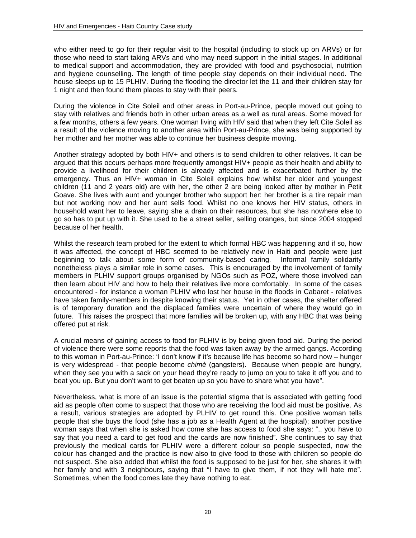who either need to go for their regular visit to the hospital (including to stock up on ARVs) or for those who need to start taking ARVs and who may need support in the initial stages. In additional to medical support and accommodation, they are provided with food and psychosocial, nutrition and hygiene counselling. The length of time people stay depends on their individual need. The house sleeps up to 15 PLHIV. During the flooding the director let the 11 and their children stay for 1 night and then found them places to stay with their peers.

During the violence in Cite Soleil and other areas in Port-au-Prince, people moved out going to stay with relatives and friends both in other urban areas as a well as rural areas. Some moved for a few months, others a few years. One woman living with HIV said that when they left Cite Soleil as a result of the violence moving to another area within Port-au-Prince, she was being supported by her mother and her mother was able to continue her business despite moving.

Another strategy adopted by both HIV+ and others is to send children to other relatives. It can be argued that this occurs perhaps more frequently amongst HIV+ people as their health and ability to provide a livelihood for their children is already affected and is exacerbated further by the emergency. Thus an HIV+ woman in Cite Soleil explains how whilst her older and youngest children (11 and 2 years old) are with her, the other 2 are being looked after by mother in Petit Goave. She lives with aunt and younger brother who support her: her brother is a tire repair man but not working now and her aunt sells food. Whilst no one knows her HIV status, others in household want her to leave, saying she a drain on their resources, but she has nowhere else to go so has to put up with it. She used to be a street seller, selling oranges, but since 2004 stopped because of her health.

Whilst the research team probed for the extent to which formal HBC was happening and if so, how it was affected, the concept of HBC seemed to be relatively new in Haiti and people were just beginning to talk about some form of community-based caring. Informal family solidarity nonetheless plays a similar role in some cases. This is encouraged by the involvement of family members in PLHIV support groups organised by NGOs such as POZ, where those involved can then learn about HIV and how to help their relatives live more comfortably. In some of the cases encountered - for instance a woman PLHIV who lost her house in the floods in Cabaret - relatives have taken family-members in despite knowing their status. Yet in other cases, the shelter offered is of temporary duration and the displaced families were uncertain of where they would go in future. This raises the prospect that more families will be broken up, with any HBC that was being offered put at risk.

A crucial means of gaining access to food for PLHIV is by being given food aid. During the period of violence there were some reports that the food was taken away by the armed gangs. According to this woman in Port-au-Prince: 'I don't know if it's because life has become so hard now – hunger is very widespread - that people become *chimè* (gangsters). Because when people are hungry, when they see you with a sack on your head they're ready to jump on you to take it off you and to beat you up. But you don't want to get beaten up so you have to share what you have".

Nevertheless, what is more of an issue is the potential stigma that is associated with getting food aid as people often come to suspect that those who are receiving the food aid must be positive. As a result, various strategies are adopted by PLHIV to get round this. One positive woman tells people that she buys the food (she has a job as a Health Agent at the hospital); another positive woman says that when she is asked how come she has access to food she says: ".. you have to say that you need a card to get food and the cards are now finished". She continues to say that previously the medical cards for PLHIV were a different colour so people suspected, now the colour has changed and the practice is now also to give food to those with children so people do not suspect. She also added that whilst the food is supposed to be just for her, she shares it with her family and with 3 neighbours, saying that "I have to give them, if not they will hate me". Sometimes, when the food comes late they have nothing to eat.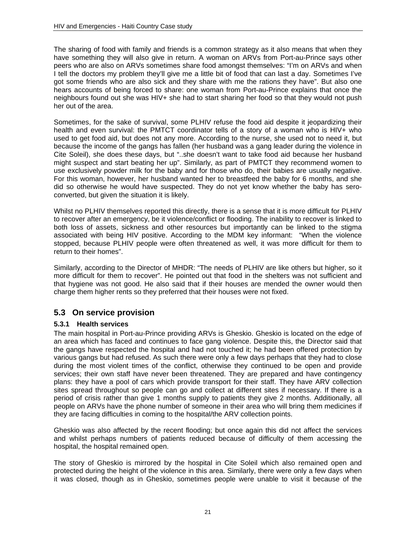The sharing of food with family and friends is a common strategy as it also means that when they have something they will also give in return. A woman on ARVs from Port-au-Prince says other peers who are also on ARVs sometimes share food amongst themselves: "I'm on ARVs and when I tell the doctors my problem they'll give me a little bit of food that can last a day. Sometimes I've got some friends who are also sick and they share with me the rations they have". But also one hears accounts of being forced to share: one woman from Port-au-Prince explains that once the neighbours found out she was HIV+ she had to start sharing her food so that they would not push her out of the area.

Sometimes, for the sake of survival, some PLHIV refuse the food aid despite it jeopardizing their health and even survival: the PMTCT coordinator tells of a story of a woman who is HIV+ who used to get food aid, but does not any more. According to the nurse, she used not to need it, but because the income of the gangs has fallen (her husband was a gang leader during the violence in Cite Soleil), she does these days, but "..she doesn't want to take food aid because her husband might suspect and start beating her up". Similarly, as part of PMTCT they recommend women to use exclusively powder milk for the baby and for those who do, their babies are usually negative. For this woman, however, her husband wanted her to breastfeed the baby for 6 months, and she did so otherwise he would have suspected. They do not yet know whether the baby has seroconverted, but given the situation it is likely.

Whilst no PLHIV themselves reported this directly, there is a sense that it is more difficult for PLHIV to recover after an emergency, be it violence/conflict or flooding. The inability to recover is linked to both loss of assets, sickness and other resources but importantly can be linked to the stigma associated with being HIV positive. According to the MDM key informant: "When the violence stopped, because PLHIV people were often threatened as well, it was more difficult for them to return to their homes".

Similarly, according to the Director of MHDR: "The needs of PLHIV are like others but higher, so it more difficult for them to recover". He pointed out that food in the shelters was not sufficient and that hygiene was not good. He also said that if their houses are mended the owner would then charge them higher rents so they preferred that their houses were not fixed.

## **5.3 On service provision**

### **5.3.1 Health services**

The main hospital in Port-au-Prince providing ARVs is Gheskio. Gheskio is located on the edge of an area which has faced and continues to face gang violence. Despite this, the Director said that the gangs have respected the hospital and had not touched it; he had been offered protection by various gangs but had refused. As such there were only a few days perhaps that they had to close during the most violent times of the conflict, otherwise they continued to be open and provide services; their own staff have never been threatened. They are prepared and have contingency plans: they have a pool of cars which provide transport for their staff. They have ARV collection sites spread throughout so people can go and collect at different sites if necessary. If there is a period of crisis rather than give 1 months supply to patients they give 2 months. Additionally, all people on ARVs have the phone number of someone in their area who will bring them medicines if they are facing difficulties in coming to the hospital/the ARV collection points.

Gheskio was also affected by the recent flooding; but once again this did not affect the services and whilst perhaps numbers of patients reduced because of difficulty of them accessing the hospital, the hospital remained open.

The story of Gheskio is mirrored by the hospital in Cite Soleil which also remained open and protected during the height of the violence in this area. Similarly, there were only a few days when it was closed, though as in Gheskio, sometimes people were unable to visit it because of the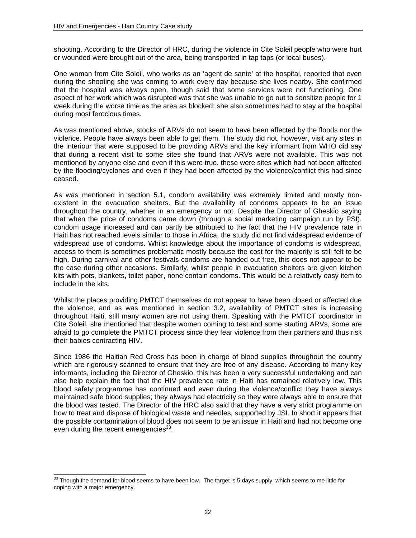shooting. According to the Director of HRC, during the violence in Cite Soleil people who were hurt or wounded were brought out of the area, being transported in tap taps (or local buses).

One woman from Cite Soleil, who works as an 'agent de sante' at the hospital, reported that even during the shooting she was coming to work every day because she lives nearby. She confirmed that the hospital was always open, though said that some services were not functioning. One aspect of her work which was disrupted was that she was unable to go out to sensitize people for 1 week during the worse time as the area as blocked; she also sometimes had to stay at the hospital during most ferocious times.

As was mentioned above, stocks of ARVs do not seem to have been affected by the floods nor the violence. People have always been able to get them. The study did not, however, visit any sites in the interiour that were supposed to be providing ARVs and the key informant from WHO did say that during a recent visit to some sites she found that ARVs were not available. This was not mentioned by anyone else and even if this were true, these were sites which had not been affected by the flooding/cyclones and even if they had been affected by the violence/conflict this had since ceased.

As was mentioned in section 5.1, condom availability was extremely limited and mostly nonexistent in the evacuation shelters. But the availability of condoms appears to be an issue throughout the country, whether in an emergency or not. Despite the Director of Gheskio saying that when the price of condoms came down (through a social marketing campaign run by PSI), condom usage increased and can partly be attributed to the fact that the HIV prevalence rate in Haiti has not reached levels similar to those in Africa, the study did not find widespread evidence of widespread use of condoms. Whilst knowledge about the importance of condoms is widespread, access to them is sometimes problematic mostly because the cost for the majority is still felt to be high. During carnival and other festivals condoms are handed out free, this does not appear to be the case during other occasions. Similarly, whilst people in evacuation shelters are given kitchen kits with pots, blankets, toilet paper, none contain condoms. This would be a relatively easy item to include in the kits.

Whilst the places providing PMTCT themselves do not appear to have been closed or affected due the violence, and as was mentioned in section 3.2, availability of PMTCT sites is increasing throughout Haiti, still many women are not using them. Speaking with the PMTCT coordinator in Cite Soleil, she mentioned that despite women coming to test and some starting ARVs, some are afraid to go complete the PMTCT process since they fear violence from their partners and thus risk their babies contracting HIV.

Since 1986 the Haitian Red Cross has been in charge of blood supplies throughout the country which are rigorously scanned to ensure that they are free of any disease. According to many key informants, including the Director of Gheskio, this has been a very successful undertaking and can also help explain the fact that the HIV prevalence rate in Haiti has remained relatively low. This blood safety programme has continued and even during the violence/conflict they have always maintained safe blood supplies; they always had electricity so they were always able to ensure that the blood was tested. The Director of the HRC also said that they have a very strict programme on how to treat and dispose of biological waste and needles, supported by JSI. In short it appears that the possible contamination of blood does not seem to be an issue in Haiti and had not become one even during the recent emergencies $33$ .

 $\overline{a}$  $33$  Though the demand for blood seems to have been low. The target is 5 days supply, which seems to me little for coping with a major emergency.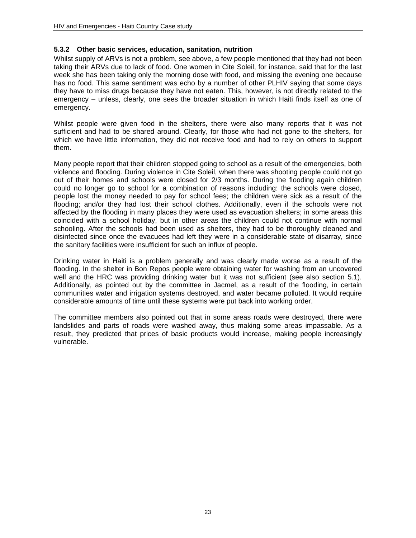#### **5.3.2 Other basic services, education, sanitation, nutrition**

Whilst supply of ARVs is not a problem, see above, a few people mentioned that they had not been taking their ARVs due to lack of food. One women in Cite Soleil, for instance, said that for the last week she has been taking only the morning dose with food, and missing the evening one because has no food. This same sentiment was echo by a number of other PLHIV saying that some days they have to miss drugs because they have not eaten. This, however, is not directly related to the emergency – unless, clearly, one sees the broader situation in which Haiti finds itself as one of emergency.

Whilst people were given food in the shelters, there were also many reports that it was not sufficient and had to be shared around. Clearly, for those who had not gone to the shelters, for which we have little information, they did not receive food and had to rely on others to support them.

Many people report that their children stopped going to school as a result of the emergencies, both violence and flooding. During violence in Cite Soleil, when there was shooting people could not go out of their homes and schools were closed for 2/3 months. During the flooding again children could no longer go to school for a combination of reasons including: the schools were closed, people lost the money needed to pay for school fees; the children were sick as a result of the flooding; and/or they had lost their school clothes. Additionally, even if the schools were not affected by the flooding in many places they were used as evacuation shelters; in some areas this coincided with a school holiday, but in other areas the children could not continue with normal schooling. After the schools had been used as shelters, they had to be thoroughly cleaned and disinfected since once the evacuees had left they were in a considerable state of disarray, since the sanitary facilities were insufficient for such an influx of people.

Drinking water in Haiti is a problem generally and was clearly made worse as a result of the flooding. In the shelter in Bon Repos people were obtaining water for washing from an uncovered well and the HRC was providing drinking water but it was not sufficient (see also section 5.1). Additionally, as pointed out by the committee in Jacmel, as a result of the flooding, in certain communities water and irrigation systems destroyed, and water became polluted. It would require considerable amounts of time until these systems were put back into working order.

The committee members also pointed out that in some areas roads were destroyed, there were landslides and parts of roads were washed away, thus making some areas impassable. As a result, they predicted that prices of basic products would increase, making people increasingly vulnerable.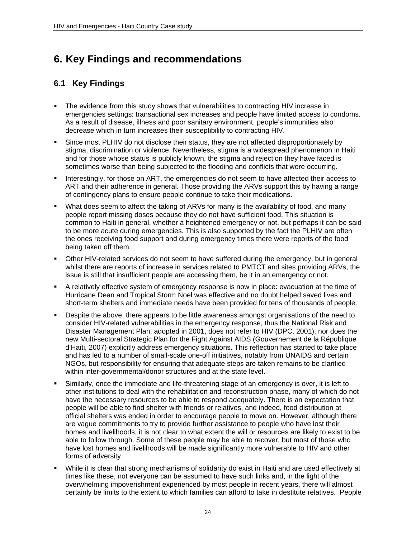# **6. Key Findings and recommendations**

## **6.1 Key Findings**

- The evidence from this study shows that vulnerabilities to contracting HIV increase in emergencies settings: transactional sex increases and people have limited access to condoms. As a result of disease, illness and poor sanitary environment, people's immunities also decrease which in turn increases their susceptibility to contracting HIV.
- Since most PLHIV do not disclose their status, they are not affected disproportionately by stigma, discrimination or violence. Nevertheless, stigma is a widespread phenomenon in Haiti and for those whose status is publicly known, the stigma and rejection they have faced is sometimes worse than being subjected to the flooding and conflicts that were occurring.
- **Interestingly, for those on ART, the emergencies do not seem to have affected their access to** ART and their adherence in general. Those providing the ARVs support this by having a range of contingency plans to ensure people continue to take their medications.
- What does seem to affect the taking of ARVs for many is the availability of food, and many people report missing doses because they do not have sufficient food. This situation is common to Haiti in general, whether a heightened emergency or not, but perhaps it can be said to be more acute during emergencies. This is also supported by the fact the PLHIV are often the ones receiving food support and during emergency times there were reports of the food being taken off them.
- Other HIV-related services do not seem to have suffered during the emergency, but in general whilst there are reports of increase in services related to PMTCT and sites providing ARVs, the issue is still that insufficient people are accessing them, be it in an emergency or not.
- A relatively effective system of emergency response is now in place: evacuation at the time of Hurricane Dean and Tropical Storm Noel was effective and no doubt helped saved lives and short-term shelters and immediate needs have been provided for tens of thousands of people.
- Despite the above, there appears to be little awareness amongst organisations of the need to consider HIV-related vulnerabilities in the emergency response, thus the National Risk and Disaster Management Plan, adopted in 2001, does not refer to HIV (DPC, 2001), nor does the new Multi-sectoral Strategic Plan for the Fight Against AIDS (Gouvernement de la République d'Haiti, 2007) explicitly address emergency situations. This reflection has started to take place and has led to a number of small-scale one-off initiatives, notably from UNAIDS and certain NGOs, but responsibility for ensuring that adequate steps are taken remains to be clarified within inter-governmental/donor structures and at the state level.
- Similarly, once the immediate and life-threatening stage of an emergency is over, it is left to other institutions to deal with the rehabilitation and reconstruction phase, many of which do not have the necessary resources to be able to respond adequately. There is an expectation that people will be able to find shelter with friends or relatives, and indeed, food distribution at official shelters was ended in order to encourage people to move on. However, although there are vague commitments to try to provide further assistance to people who have lost their homes and livelihoods, it is not clear to what extent the will or resources are likely to exist to be able to follow through. Some of these people may be able to recover, but most of those who have lost homes and livelihoods will be made significantly more vulnerable to HIV and other forms of adversity.
- While it is clear that strong mechanisms of solidarity do exist in Haiti and are used effectively at times like these, not everyone can be assumed to have such links and, in the light of the overwhelming impoverishment experienced by most people in recent years, there will almost certainly be limits to the extent to which families can afford to take in destitute relatives. People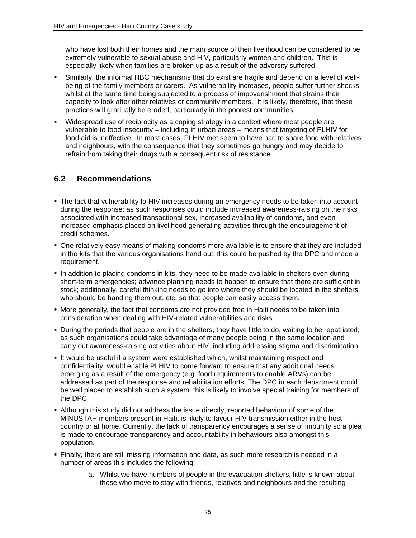who have lost both their homes and the main source of their livelihood can be considered to be extremely vulnerable to sexual abuse and HIV, particularly women and children. This is especially likely when families are broken up as a result of the adversity suffered.

- Similarly, the informal HBC mechanisms that do exist are fragile and depend on a level of wellbeing of the family members or carers. As vulnerability increases, people suffer further shocks, whilst at the same time being subjected to a process of impoverishment that strains their capacity to look after other relatives or community members. It is likely, therefore, that these practices will gradually be eroded, particularly in the poorest communities.
- Widespread use of reciprocity as a coping strategy in a context where most people are vulnerable to food insecurity – including in urban areas – means that targeting of PLHIV for food aid is ineffective. In most cases, PLHIV met seem to have had to share food with relatives and neighbours, with the consequence that they sometimes go hungry and may decide to refrain from taking their drugs with a consequent risk of resistance

## **6.2 Recommendations**

- **The fact that vulnerability to HIV increases during an emergency needs to be taken into account** during the response: as such responses could include increased awareness-raising on the risks associated with increased transactional sex, increased availability of condoms, and even increased emphasis placed on livelihood generating activities through the encouragement of credit schemes.
- One relatively easy means of making condoms more available is to ensure that they are included in the kits that the various organisations hand out; this could be pushed by the DPC and made a requirement.
- In addition to placing condoms in kits, they need to be made available in shelters even during short-term emergencies; advance planning needs to happen to ensure that there are sufficient in stock; additionally, careful thinking needs to go into where they should be located in the shelters, who should be handing them out, etc. so that people can easily access them.
- More generally, the fact that condoms are not provided free in Haiti needs to be taken into consideration when dealing with HIV-related vulnerabilities and risks.
- During the periods that people are in the shelters, they have little to do, waiting to be repatriated; as such organisations could take advantage of many people being in the same location and carry out awareness-raising activities about HIV, including addressing stigma and discrimination.
- If would be useful if a system were established which, whilst maintaining respect and confidentiality, would enable PLHIV to come forward to ensure that any additional needs emerging as a result of the emergency (e.g. food requirements to enable ARVs) can be addressed as part of the response and rehabilitation efforts. The DPC in each department could be well placed to establish such a system; this is likely to involve special training for members of the DPC.
- Although this study did not address the issue directly, reported behaviour of some of the MINUSTAH members present in Haiti, is likely to favour HIV transmission either in the host country or at home. Currently, the lack of transparency encourages a sense of impunity so a plea is made to encourage transparency and accountability in behaviours also amongst this population.
- Finally, there are still missing information and data, as such more research is needed in a number of areas this includes the following:
	- a. Whilst we have numbers of people in the evacuation shelters, little is known about those who move to stay with friends, relatives and neighbours and the resulting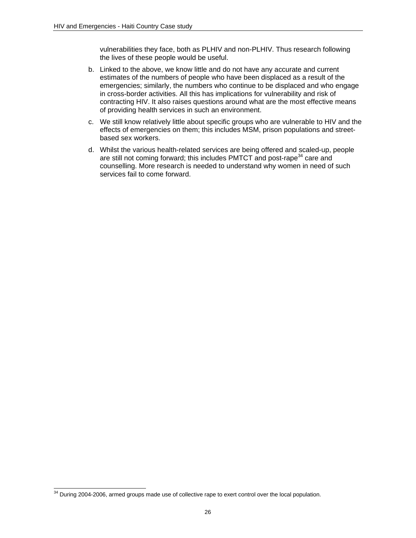vulnerabilities they face, both as PLHIV and non-PLHIV. Thus research following the lives of these people would be useful.

- b. Linked to the above, we know little and do not have any accurate and current estimates of the numbers of people who have been displaced as a result of the emergencies; similarly, the numbers who continue to be displaced and who engage in cross-border activities. All this has implications for vulnerability and risk of contracting HIV. It also raises questions around what are the most effective means of providing health services in such an environment.
- c. We still know relatively little about specific groups who are vulnerable to HIV and the effects of emergencies on them; this includes MSM, prison populations and streetbased sex workers.
- d. Whilst the various health-related services are being offered and scaled-up, people are still not coming forward; this includes PMTCT and post-rape<sup>34</sup> care and counselling. More research is needed to understand why women in need of such services fail to come forward.

l  $34$  During 2004-2006, armed groups made use of collective rape to exert control over the local population.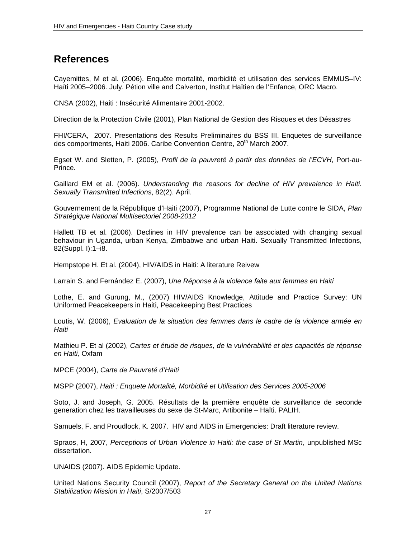## **References**

Cayemittes, M et al. (2006). Enquête mortalité, morbidité et utilisation des services EMMUS–IV: Haïti 2005–2006. July. Pétion ville and Calverton, Institut Haïtien de l'Enfance, ORC Macro.

CNSA (2002), Haiti : Insécurité Alimentaire 2001-2002.

Direction de la Protection Civile (2001), Plan National de Gestion des Risques et des Désastres

FHI/CERA, 2007. Presentations des Results Preliminaires du BSS III. Enquetes de surveillance des comportments, Haiti 2006. Caribe Convention Centre, 20<sup>th</sup> March 2007.

Egset W. and Sletten, P. (2005), *Profil de la pauvreté à partir des données de l'ECVH*, Port-au-Prince.

Gaillard EM et al. (2006). *Understanding the reasons for decline of HIV prevalence in Haiti. Sexually Transmitted Infections*, 82(2). April.

Gouvernement de la République d'Haiti (2007), Programme National de Lutte contre le SIDA, *Plan Stratégique National Multisectoriel 2008-2012* 

Hallett TB et al. (2006). Declines in HIV prevalence can be associated with changing sexual behaviour in Uganda, urban Kenya, Zimbabwe and urban Haiti. Sexually Transmitted Infections, 82(Suppl. I):1–i8.

Hempstope H. Et al. (2004), HIV/AIDS in Haiti: A literature Reivew

Larrain S. and Fernández E. (2007), *Une Réponse à la violence faite aux femmes en Haiti* 

Lothe, E. and Gurung, M., (2007) HIV/AIDS Knowledge, Attitude and Practice Survey: UN Uniformed Peacekeepers in Haiti, Peacekeeping Best Practices

Loutis, W. (2006), *Evaluation de la situation des femmes dans le cadre de la violence armée en Haiti* 

Mathieu P. Et al (2002), *Cartes et étude de risques, de la vulnérabilité et des capacités de réponse en Haiti,* Oxfam

MPCE (2004), *Carte de Pauvreté d'Haiti*

MSPP (2007), *Haiti : Enquete Mortalité, Morbidité et Utilisation des Services 2005-2006*

Soto, J. and Joseph, G. 2005. Résultats de la première enquête de surveillance de seconde generation chez les travailleuses du sexe de St-Marc, Artibonite – Haïti. PALIH.

Samuels, F. and Proudlock, K. 2007. HIV and AIDS in Emergencies: Draft literature review.

Spraos, H, 2007, *Perceptions of Urban Violence in Haiti: the case of St Martin*, unpublished MSc dissertation.

UNAIDS (2007). AIDS Epidemic Update.

United Nations Security Council (2007), *Report of the Secretary General on the United Nations Stabilization Mission in Haiti*, S/2007/503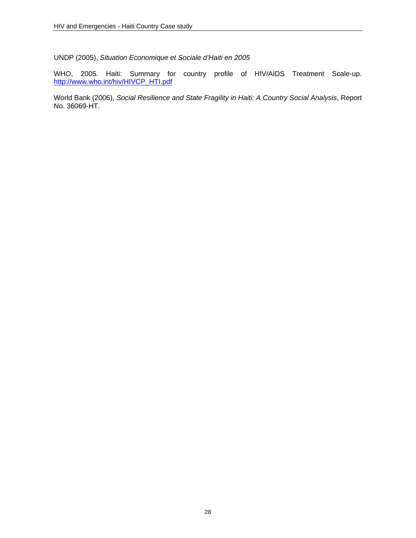UNDP (2005), *Situation Economique et Sociale d'Haiti en 2005* 

WHO, 2005. Haiti: Summary for country profile of HIV/AIDS Treatment Scale-up. http://www.who.int/hiv/HIVCP\_HTI.pdf

World Bank (2006), *Social Resilience and State Fragility in Haiti: A Country Social Analysis*, Report No. 36069-HT.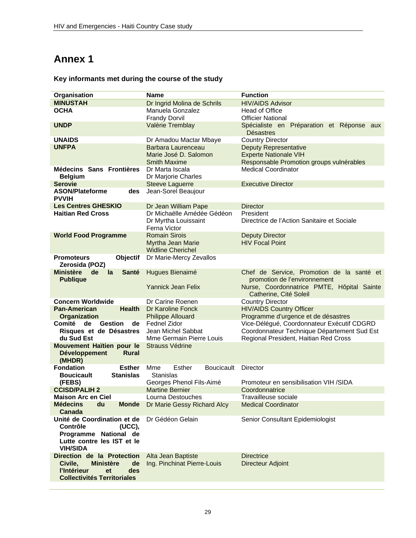# **Annex 1**

### **Key informants met during the course of the study**

| Organisation                                 | <b>Name</b>                        | <b>Function</b>                                        |  |
|----------------------------------------------|------------------------------------|--------------------------------------------------------|--|
| <b>MINUSTAH</b>                              | Dr Ingrid Molina de Schrils        | <b>HIV/AIDS Advisor</b>                                |  |
| <b>OCHA</b>                                  | Manuela Gonzalez                   | Head of Office                                         |  |
|                                              | <b>Frandy Dorvil</b>               | <b>Officier National</b>                               |  |
| <b>UNDP</b>                                  | Valérie Tremblay                   | Spécialiste en Préparation et Réponse aux<br>Désastres |  |
| <b>UNAIDS</b>                                | Dr Amadou Mactar Mbaye             | <b>Country Director</b>                                |  |
| <b>UNFPA</b>                                 | Barbara Laurenceau                 | <b>Deputy Representative</b>                           |  |
|                                              | Marie José D. Salomon              | <b>Experte Nationale VIH</b>                           |  |
|                                              | <b>Smith Maxime</b>                | Responsable Promotion groups vulnérables               |  |
| Médecins Sans Frontières                     | Dr Marta Iscala                    | <b>Medical Coordinator</b>                             |  |
| <b>Belgium</b>                               | Dr Marjorie Charles                |                                                        |  |
| <b>Serovie</b>                               | <b>Steeve Laguerre</b>             | <b>Executive Director</b>                              |  |
| <b>ASON/Plateforme</b><br>des                | Jean-Sorel Beaujour                |                                                        |  |
| <b>PVVIH</b>                                 |                                    |                                                        |  |
| <b>Les Centres GHESKIO</b>                   | Dr Jean William Pape               | Director                                               |  |
| <b>Haitian Red Cross</b>                     | Dr Michaëlle Amédée Gédéon         | President                                              |  |
|                                              | Dr Myrtha Louissaint               | Directrice de l'Action Sanitaire et Sociale            |  |
|                                              | Ferna Victor                       |                                                        |  |
| <b>World Food Programme</b>                  | <b>Romain Sirois</b>               | <b>Deputy Director</b>                                 |  |
|                                              | Myrtha Jean Marie                  | <b>HIV Focal Point</b>                                 |  |
|                                              | <b>Widline Cherichel</b>           |                                                        |  |
| Objectif<br><b>Promoteurs</b>                | Dr Marie-Mercy Zevallos            |                                                        |  |
| Zerosida (POZ)                               |                                    |                                                        |  |
| <b>Ministère</b><br>de<br>la<br><b>Santé</b> | Hugues Bienaimé                    | Chef de Service, Promotion de la santé et              |  |
| <b>Publique</b>                              |                                    | promotion de l'environnement                           |  |
|                                              | <b>Yannick Jean Felix</b>          | Nurse, Coordonnatrice PMTE, Hôpital Sainte             |  |
|                                              |                                    | Catherine, Cité Soleil                                 |  |
| <b>Concern Worldwide</b>                     | Dr Carine Roenen                   | <b>Country Director</b>                                |  |
| <b>Pan-American</b><br><b>Health</b>         | Dr Karoline Fonck                  | <b>HIV/AIDS Country Officer</b>                        |  |
| Organization                                 | <b>Philippe Allouard</b>           | Programme d'urgence et de désastres                    |  |
| Comité<br><b>Gestion</b><br>de<br>de         | <b>Fednel Zidor</b>                | Vice-Délégué, Coordonnateur Exécutif CDGRD             |  |
| Risques et de Désastres                      | Jean Michel Sabbat                 | Coordonnateur Technique Département Sud Est            |  |
| du Sud Est                                   | Mme Germain Pierre Louis           | Regional President, Haitian Red Cross                  |  |
| Mouvement Haïtien pour le                    | Strauss Védrine                    |                                                        |  |
| <b>Développement</b><br><b>Rural</b>         |                                    |                                                        |  |
| (MHDR)                                       |                                    |                                                        |  |
| <b>Fondation</b><br><b>Esther</b>            | Esther<br><b>Boucicault</b><br>Mme | Director                                               |  |
| <b>Stanislas</b><br><b>Boucicault</b>        | <b>Stanislas</b>                   |                                                        |  |
| (FEBS)                                       | Georges Phenol Fils-Aimé           | Promoteur en sensibilisation VIH /SIDA                 |  |
| <b>CCISD/PALIH 2</b>                         | <b>Martine Bernier</b>             | Coordonnatrice                                         |  |
| <b>Maison Arc en Ciel</b>                    | Lourna Destouches                  | Travailleuse sociale                                   |  |
| <b>Médecins</b><br>du<br><b>Monde</b>        | Dr Marie Gessy Richard Alcy        | <b>Medical Coordinator</b>                             |  |
| Canada                                       |                                    |                                                        |  |
| Unité de Coordination et de                  | Dr Gédéon Gelain                   | Senior Consultant Epidemiologist                       |  |
| Contrôle<br>(UCC),                           |                                    |                                                        |  |
| Programme National de                        |                                    |                                                        |  |
| Lutte contre les IST et le                   |                                    |                                                        |  |
| <b>VIH/SIDA</b>                              |                                    |                                                        |  |
| Direction de la Protection                   | Alta Jean Baptiste                 | <b>Directrice</b>                                      |  |
| Civile,<br><b>Ministère</b><br>de            | Ing. Pinchinat Pierre-Louis        | <b>Directeur Adjoint</b>                               |  |
| l'Intérieur<br>des<br>et                     |                                    |                                                        |  |
| <b>Collectivités Territoriales</b>           |                                    |                                                        |  |
|                                              |                                    |                                                        |  |